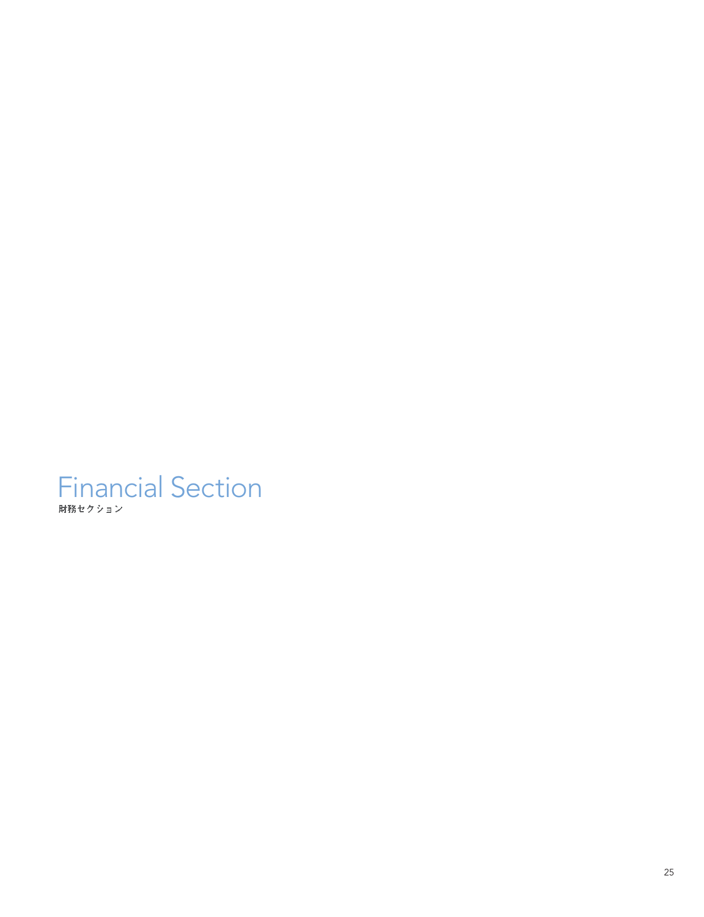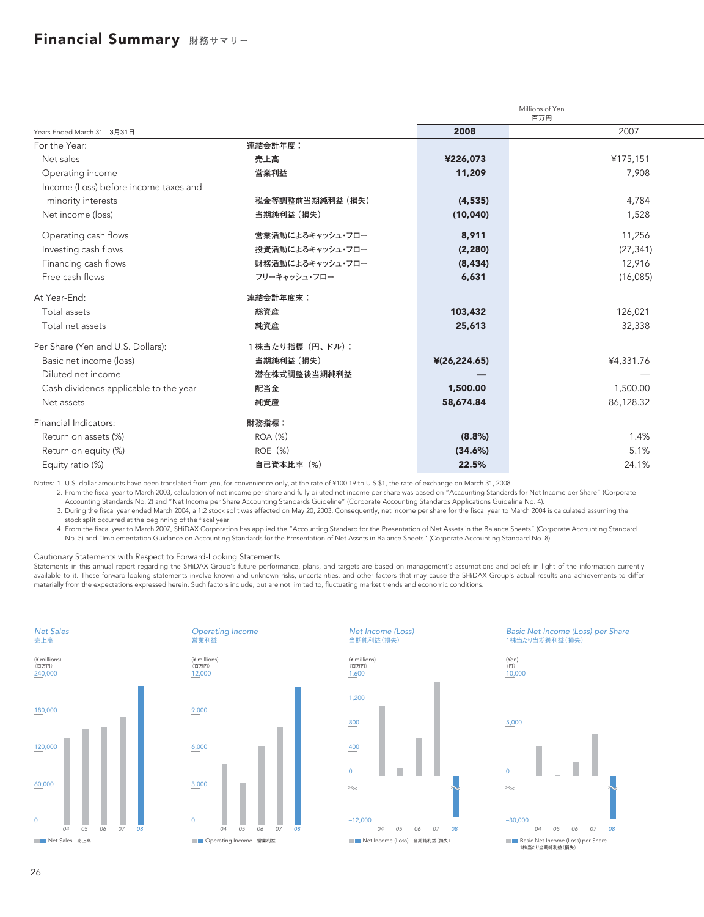### Financial Summary **財務サマリー**

|                                       |                  | Millions of Yen<br>百万円 |           |
|---------------------------------------|------------------|------------------------|-----------|
| Years Ended March 31 3月31日            |                  | 2008                   | 2007      |
| For the Year:                         | 連結会計年度:          |                        |           |
| Net sales                             | 売上高              | ¥226,073               | ¥175,151  |
| Operating income                      | 営業利益             | 11,209                 | 7,908     |
| Income (Loss) before income taxes and |                  |                        |           |
| minority interests                    | 税金等調整前当期純利益 (損失) | (4, 535)               | 4,784     |
| Net income (loss)                     | 当期純利益 (損失)       | (10,040)               | 1,528     |
| Operating cash flows                  | 営業活動によるキャッシュ・フロー | 8,911                  | 11,256    |
| Investing cash flows                  | 投資活動によるキャッシュ・フロー | (2, 280)               | (27, 341) |
| Financing cash flows                  | 財務活動によるキャッシュ・フロー | (8, 434)               | 12,916    |
| Free cash flows                       | フリーキャッシュ・フロー     | 6,631                  | (16,085)  |
| At Year-End:                          | 連結会計年度末:         |                        |           |
| Total assets                          | 総資産              | 103,432                | 126,021   |
| Total net assets                      | 純資産              | 25,613                 | 32,338    |
| Per Share (Yen and U.S. Dollars):     | 1株当たり指標 (円、ドル):  |                        |           |
| Basic net income (loss)               | 当期純利益 (損失)       | $*(26, 224.65)$        | ¥4,331.76 |
| Diluted net income                    | 潜在株式調整後当期純利益     |                        |           |
| Cash dividends applicable to the year | 配当金              | 1,500.00               | 1,500.00  |
| Net assets                            | 純資産              | 58,674.84              | 86,128.32 |
| Financial Indicators:                 | 財務指標:            |                        |           |
| Return on assets (%)                  | <b>ROA (%)</b>   | $(8.8\%)$              | 1.4%      |
| Return on equity (%)                  | ROE (%)          | (34.6%)                | 5.1%      |
| Equity ratio (%)                      | 自己資本比率 (%)       | 22.5%                  | 24.1%     |

Notes: 1. U.S. dollar amounts have been translated from yen, for convenience only, at the rate of ¥100.19 to U.S.\$1, the rate of exchange on March 31, 2008.

2. From the fiscal year to March 2003, calculation of net income per share and fully diluted net income per share was based on "Accounting Standards for Net Income per Share" (Corporate Accounting Standards No. 2) and "Net Income per Share Accounting Standards Guideline" (Corporate Accounting Standards Applications Guideline No. 4).

3. During the fiscal year ended March 2004, a 1:2 stock split was effected on May 20, 2003. Consequently, net income per share for the fiscal year to March 2004 is calculated assuming the stock split occurred at the beginning of the fiscal year.

4. From the fiscal year to March 2007, SHiDAX Corporation has applied the "Accounting Standard for the Presentation of Net Assets in the Balance Sheets" (Corporate Accounting Standard No. 5) and "Implementation Guidance on Accounting Standards for the Presentation of Net Assets in Balance Sheets" (Corporate Accounting Standard No. 8).

### Cautionary Statements with Respect to Forward-Looking Statements

Statements in this annual report regarding the SHiDAX Group's future performance, plans, and targets are based on management's assumptions and beliefs in light of the information currently available to it. These forward-looking statements involve known and unknown risks, uncertainties, and other factors that may cause the SHiDAX Group's actual results and achievements to differ materially from the expectations expressed herein. Such factors include, but are not limited to, fluctuating market trends and economic conditions.









Basic Net Income (Loss) per Share 1株当たり当期純利益(損失)

(Yen)

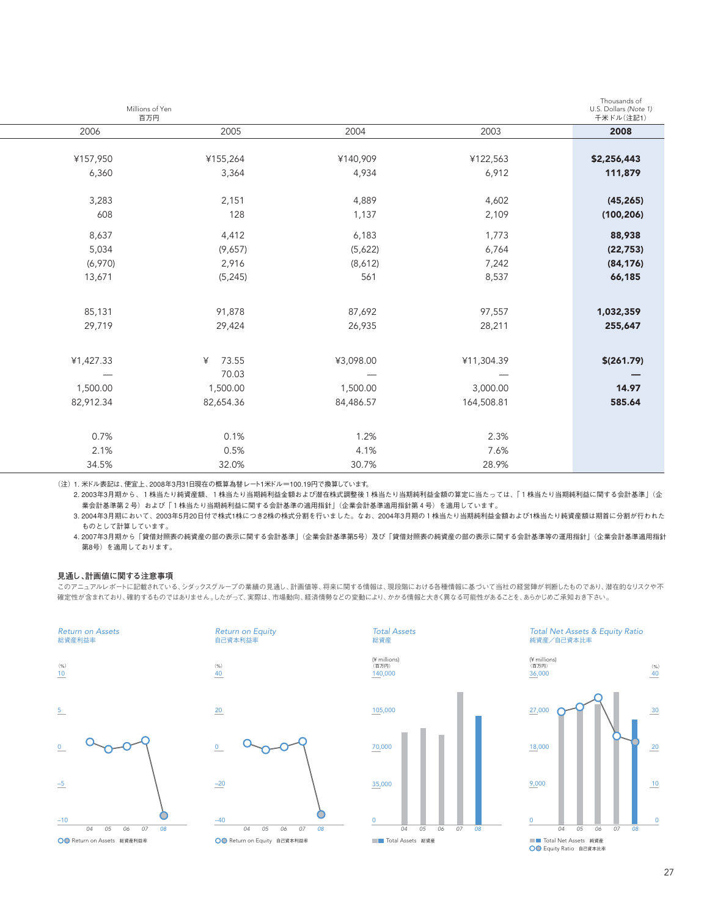| Thousands of<br>Millions of Yen<br>U.S. Dollars (Note 1)<br>百万円<br>千米ドル(注記1) |  |  |
|------------------------------------------------------------------------------|--|--|
| 2003<br>2006<br>2005<br>2004<br>2008                                         |  |  |
|                                                                              |  |  |
| ¥155,264<br>¥157,950<br>¥140,909<br>¥122,563<br>\$2,256,443                  |  |  |
| 6,912<br>111,879<br>6,360<br>3,364<br>4,934                                  |  |  |
|                                                                              |  |  |
| 3,283<br>2,151<br>4,889<br>4,602<br>(45, 265)                                |  |  |
| 608<br>128<br>1,137<br>2,109<br>(100, 206)                                   |  |  |
| 8,637<br>1,773<br>88,938<br>4,412<br>6,183                                   |  |  |
| 5,034<br>(9,657)<br>(5,622)<br>6,764<br>(22, 753)                            |  |  |
| 2,916<br>(6,970)<br>(8,612)<br>7,242<br>(84, 176)                            |  |  |
| 561<br>8,537<br>13,671<br>(5, 245)<br>66,185                                 |  |  |
|                                                                              |  |  |
| 85,131<br>91,878<br>87,692<br>97,557<br>1,032,359                            |  |  |
| 29,719<br>29,424<br>26,935<br>28,211<br>255,647                              |  |  |
|                                                                              |  |  |
| 73.55<br>¥1,427.33<br>¥3,098.00<br>¥11,304.39<br>\$(261.79)<br>¥             |  |  |
| 70.03                                                                        |  |  |
| 1,500.00<br>1,500.00<br>1,500.00<br>3,000.00<br>14.97                        |  |  |
| 82,912.34<br>84,486.57<br>164,508.81<br>585.64<br>82,654.36                  |  |  |
|                                                                              |  |  |
| 0.7%<br>0.1%<br>1.2%<br>2.3%                                                 |  |  |
| 2.1%<br>0.5%<br>4.1%<br>7.6%                                                 |  |  |
| 34.5%<br>28.9%<br>32.0%<br>30.7%                                             |  |  |

(注)1. 米ドル表記は、便宜上、2008年3月31日現在の概算為替レート1米ドル=100.19円で換算しています。

2. 2003年3月期から、1株当たり純資産額、1株当たり当期純利益金額および潜在株式調整後1株当たり当期純利益金額の算定に当たっては、「1株当たり当期純利益に関する会計基準」(企 業会計基準第2号)および「1株当たり当期純利益に関する会計基準の適用指針」(企業会計基準適用指針第4号)を適用しています。

3. 2004年3月期において、2003年5月20日付で株式1株につき2株の株式分割を行いました。なお、2004年3月期の1株当たり当期純利益金額および1株当たり純資産額は期首に分割が行われた ものとして計算しています。

4. 2007年3月期から「貸借対照表の純資産の部の表示に関する会計基準」(企業会計基準第5号)及び「貸借対照表の純資産の部の表示に関する会計基準等の運用指針」(企業会計基準適用指針 第8号)を適用しております。

### **見通し、計画値に関する注意事項**

このアニュアルレポートに記載されている、シダックスグループの業績の見通し、計画値等、将来に関する情報は、現段階における各種情報に基づいて当社の経営陣が判断したものであり、潜在的なリスクや不 確定性が含まれており、確約するものではありません。したがって、実際は、市場動向、経済情勢などの変動により、かかる情報と大きく異なる可能性があることを、あらかじめご承知おき下さい。





Return on Equity 自己資本利益率



Total Net Assets & Equity Ratio 純資産/自己資本比率

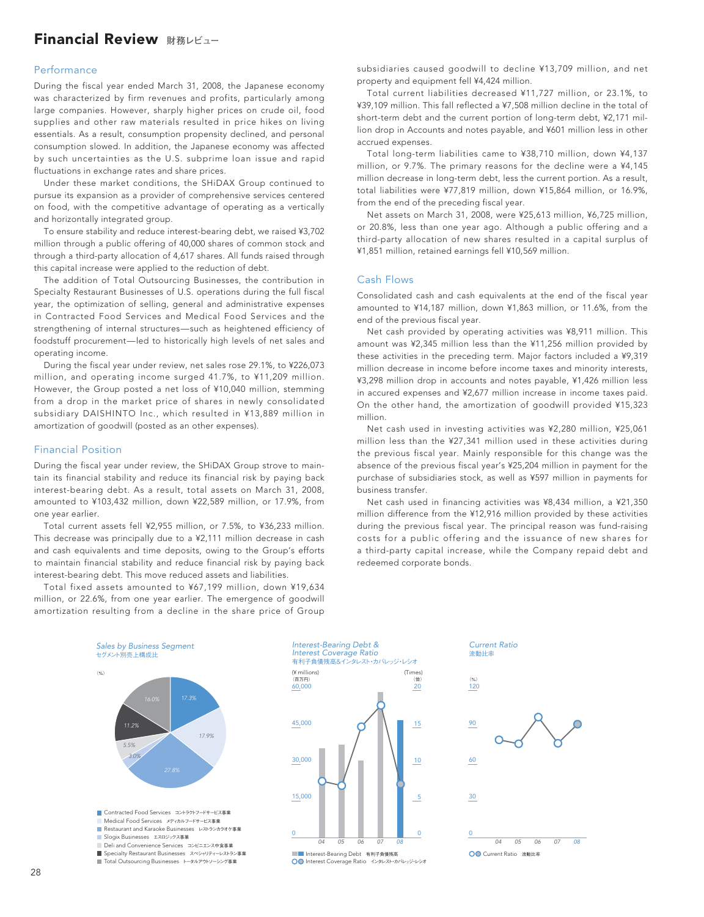### Financial Review **財務レビュー**

### Performance

During the fiscal year ended March 31, 2008, the Japanese economy was characterized by firm revenues and profits, particularly among large companies. However, sharply higher prices on crude oil, food supplies and other raw materials resulted in price hikes on living essentials. As a result, consumption propensity declined, and personal consumption slowed. In addition, the Japanese economy was affected by such uncertainties as the U.S. subprime loan issue and rapid fluctuations in exchange rates and share prices.

Under these market conditions, the SHiDAX Group continued to pursue its expansion as a provider of comprehensive services centered on food, with the competitive advantage of operating as a vertically and horizontally integrated group.

To ensure stability and reduce interest-bearing debt, we raised ¥3,702 million through a public offering of 40,000 shares of common stock and through a third-party allocation of 4,617 shares. All funds raised through this capital increase were applied to the reduction of debt.

The addition of Total Outsourcing Businesses, the contribution in Specialty Restaurant Businesses of U.S. operations during the full fiscal year, the optimization of selling, general and administrative expenses in Contracted Food Services and Medical Food Services and the strengthening of internal structures—such as heightened efficiency of foodstuff procurement—led to historically high levels of net sales and operating income.

During the fiscal year under review, net sales rose 29.1%, to ¥226,073 million, and operating income surged 41.7%, to ¥11,209 million. However, the Group posted a net loss of ¥10,040 million, stemming from a drop in the market price of shares in newly consolidated subsidiary DAISHINTO Inc., which resulted in ¥13,889 million in amortization of goodwill (posted as an other expenses).

### Financial Position

During the fiscal year under review, the SHiDAX Group strove to maintain its financial stability and reduce its financial risk by paying back interest-bearing debt. As a result, total assets on March 31, 2008, amounted to ¥103,432 million, down ¥22,589 million, or 17.9%, from one year earlier.

Total current assets fell ¥2,955 million, or 7.5%, to ¥36,233 million. This decrease was principally due to a ¥2,111 million decrease in cash and cash equivalents and time deposits, owing to the Group's efforts to maintain financial stability and reduce financial risk by paying back interest-bearing debt. This move reduced assets and liabilities.

Total fixed assets amounted to ¥67,199 million, down ¥19,634 million, or 22.6%, from one year earlier. The emergence of goodwill amortization resulting from a decline in the share price of Group

subsidiaries caused goodwill to decline ¥13,709 million, and net property and equipment fell ¥4,424 million.

Total current liabilities decreased ¥11,727 million, or 23.1%, to ¥39,109 million. This fall reflected a ¥7,508 million decline in the total of short-term debt and the current portion of long-term debt, ¥2,171 million drop in Accounts and notes payable, and ¥601 million less in other accrued expenses.

Total long-term liabilities came to ¥38,710 million, down ¥4,137 million, or 9.7%. The primary reasons for the decline were a ¥4,145 million decrease in long-term debt, less the current portion. As a result, total liabilities were ¥77,819 million, down ¥15,864 million, or 16.9%, from the end of the preceding fiscal year.

Net assets on March 31, 2008, were ¥25,613 million, ¥6,725 million, or 20.8%, less than one year ago. Although a public offering and a third-party allocation of new shares resulted in a capital surplus of ¥1,851 million, retained earnings fell ¥10,569 million.

### Cash Flows

Consolidated cash and cash equivalents at the end of the fiscal year amounted to ¥14,187 million, down ¥1,863 million, or 11.6%, from the end of the previous fiscal year.

Net cash provided by operating activities was ¥8,911 million. This amount was ¥2,345 million less than the ¥11,256 million provided by these activities in the preceding term. Major factors included a ¥9,319 million decrease in income before income taxes and minority interests, ¥3,298 million drop in accounts and notes payable, ¥1,426 million less in accured expenses and ¥2,677 million increase in income taxes paid. On the other hand, the amortization of goodwill provided ¥15,323 million.

Net cash used in investing activities was ¥2,280 million, ¥25,061 million less than the ¥27,341 million used in these activities during the previous fiscal year. Mainly responsible for this change was the absence of the previous fiscal year's ¥25,204 million in payment for the purchase of subsidiaries stock, as well as ¥597 million in payments for business transfer.

Net cash used in financing activities was ¥8,434 million, a ¥21,350 million difference from the ¥12,916 million provided by these activities during the previous fiscal year. The principal reason was fund-raising costs for a public offering and the issuance of new shares for a third-party capital increase, while the Company repaid debt and redeemed corporate bonds.

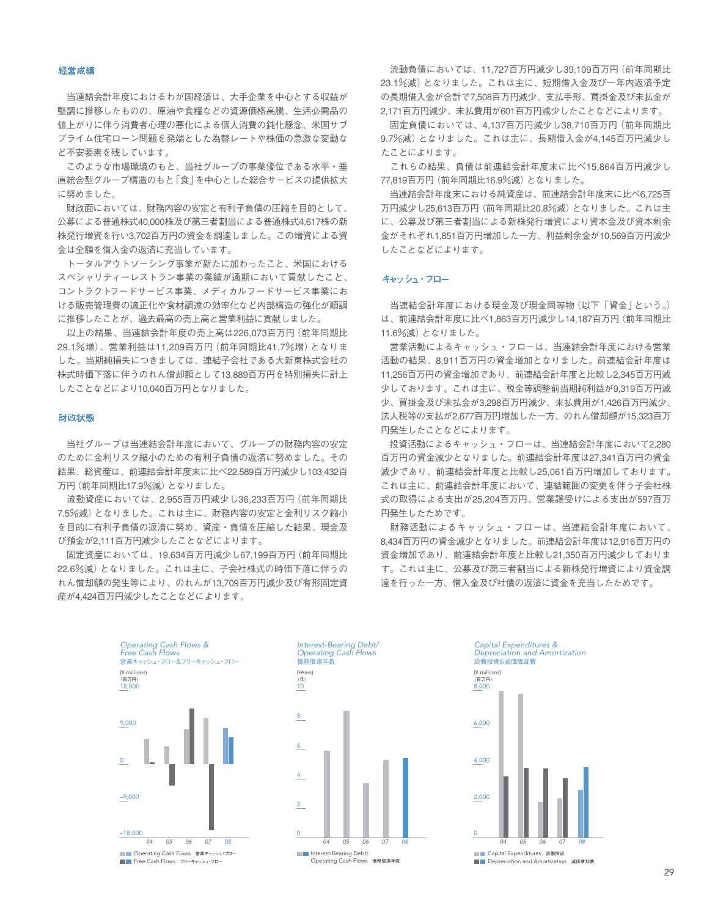#### 経営成績

当連結会計年度におけるわが国経済は、大手企業を中心とする収益が 堅調に推移したものの、原油や食糧などの資源価格高騰、生活必需品の 値上がりに伴う消費者心理の悪化による個人消費の鈍化懸念、米国サブ プライム住宅ローン問題を発端とした為替レートや株価の急激な変動な ど不安要素を残しています。

このような市場環境のもと、当社グループの事業優位である水平・垂 直統合型グループ構造のもと「食」を中心とした総合サービスの提供拡大 に努めました。

財政面においては、財務内容の安定と有利子負債の圧縮を目的として、 公募による普通株式40,000株及び第三者割当による普通株式4,617株の新 株発行増資を行い3,702百万円の資金を調達しました。この増資による資 金は全額を借入金の返済に充当しています。

トータルアウトソーシング事業が新たに加わったこと、米国における スペシャリティーレストラン事業の業績が通期において貢献したこと、 コントラクトフードサービス事業、メディカルフードサービス事業にお ける販売管理費の適正化や食材調達の効率化など内部構造の強化が順調 に推移したことが、過去最高の売上高と営業利益に貢献しました。

以上の結果、当連結会計年度の売上高は226,073百万円(前年同期比 29.1%増)、営業利益は11,209百万円(前年同期比41.7%増)となりま した。当期純損失につきましては、連結子会社である大新東株式会社の 株式時価下落に伴うのれん償却額として13,889百万円を特別損失に計上 したことなどにより10,040百万円となりました。

### 財政状態

当社グループは当連結会計年度において、グループの財務内容の安定 のために金利リスク縮小のための有利子負債の返済に努めました。その 結果、総資産は、前連結会計年度末に比べ22,589百万円減少し103,432百 万円(前年同期比17.9%減)となりました。

流動資産においては、2,955百万円減少し36,233百万円(前年同期比 7.5%減)となりました。これは主に、財務内容の安定と金利リスク縮小 を目的に有利子負債の返済に努め、資産・負債を圧縮した結果、現金及 び預金が2,111百万円減少したことなどによります。

固定資産においては、19,634百万円減少し67,199百万円(前年同期比 22.6%減)となりました。これは主に、子会社株式の時価下落に伴うの れん償却額の発生等により、のれんが13,709百万円減少及び有形固定資 産が4,424百万円減少したことなどによります。

流動負債においては、11,727百万円減少し39,109百万円(前年同期比 23.1%減)となりました。これは主に、短期借入金及び一年内返済予定 の長期借入金が合計で7,508百万円減少、支払手形、買掛金及び未払金が 2,171百万円減少、未払費用が601百万円減少したことなどによります。

固定負債においては、4,137百万円減少し38,710百万円(前年同期比 9.7%減)となりました。これは主に、長期借入金が4,145百万円減少し たことによります。

これらの結果、負債は前連結会計年度末に比べ15,864百万円減少し 77,819百万円(前年同期比16.9%減)となりました。

当連結会計年度末における純資産は、前連結会計年度末に比べ6,725百 万円減少し25,613百万円(前年同期比20.8%減)となりました。これは主 に、公募及び第三者割当による新株発行増資により資本金及び資本剰余 金がそれぞれ1,851百万円増加した一方、利益剰余金が10,569百万円減少 したことなどによります。

### キャッシュ・フロー

当連結会計年度における現金及び現金同等物(以下「資金」という。) は、前連結会計年度に比べ1,863百万円減少し14,187百万円(前年同期比 11.6%減)となりました。

営業活動によるキャッシュ・フローは、当連結会計年度における営業 活動の結果、8,911百万円の資金増加となりました。前連結会計年度は 11,256百万円の資金増加であり、前連結会計年度と比較し2,345百万円減 少しております。これは主に、税金等調整前当期純利益が9,319百万円減 少、買掛金及び未払金が3,298百万円減少、未払費用が1,426百万円減少、 法人税等の支払が2,677百万円増加した一方、のれん償却額が15,323百万 円発生したことなどによります。

投資活動によるキャッシュ・フローは、当連結会計年度において2,280 百万円の資金減少となりました。前連結会計年度は27,341百万円の資金 減少であり、前連結会計年度と比較し25,061百万円増加しております。 これは主に、前連結会計年度において、連結範囲の変更を伴う子会社株 式の取得による支出が25,204百万円、営業譲受けによる支出が597百万 円発生したためです。

財務活動によるキャッシュ・フローは、当連結会計年度において、 8,434百万円の資金減少となりました。前連結会計年度は12,916百万円の 資金増加であり、前連結会計年度と比較し21,350百万円減少しておりま す。これは主に、公募及び第三者割当による新株発行増資により資金調 達を行った一方、借入金及び社債の返済に資金を充当したためです。



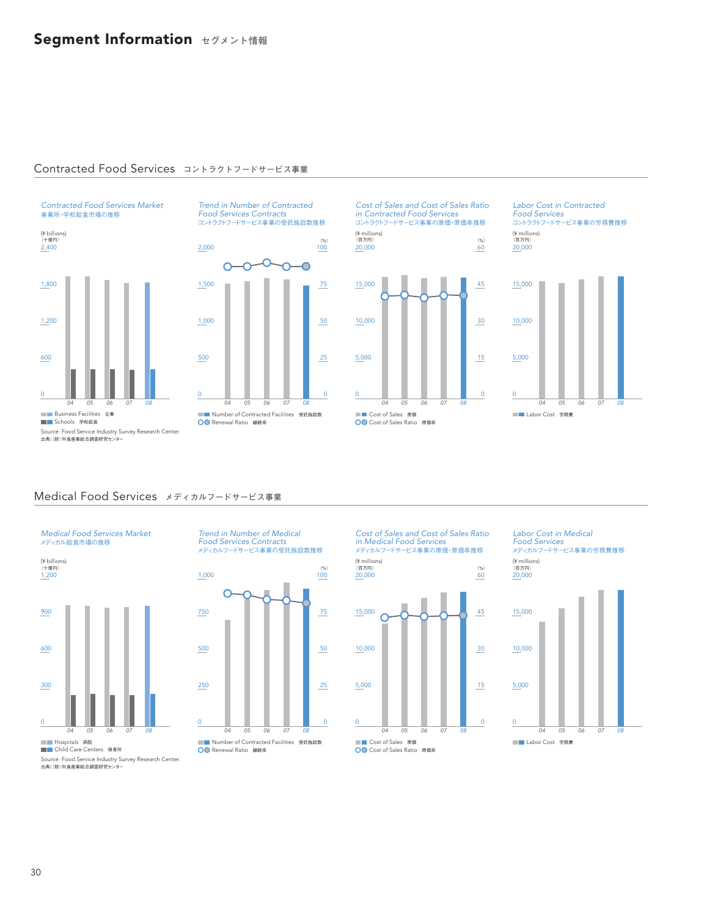### Contracted Food Services **コントラクトフードサービス事業**

Contracted Food Services Market 事業所・学校給食市場の推移



コントラクトフードサービス事業の受託施設数推移  $(9/2)$ 2,000 100 ᡐ Ō Ó Ō  $\bigcap$ 1,500 75

Trend in Number of Contracted Food Services Contracts



Cost of Sales and Cost of Sales Ratio in Contracted Food Services コントラクトフードサービス事業の原価・原価率推移

(¥ millions) (百万円)



Labor Cost in Contracted Food Services コントラクトフードサービス事業の労務費推移 20,000 (¥ millions) (%) (百万円)



出典:(財)外食産業総合調査研究センター

### Medical Food Services **メディカルフードサービス事業**



1,200 (¥ billions) (十億円)



Trend in Number of Medical Food Services Contracts メディカルフードサービス事業の受託施設数推移



Cost of Sales and Cost of Sales Ratio in Medical Food Services メディカルフードサービス事業の原価・原価率推移



Labor Cost in Medical Food Services メディカルフードサービス事業の労務費推移





Source: Food Service Industry Survey Research Center. 出典:(財)外食産業総合調査研究センター

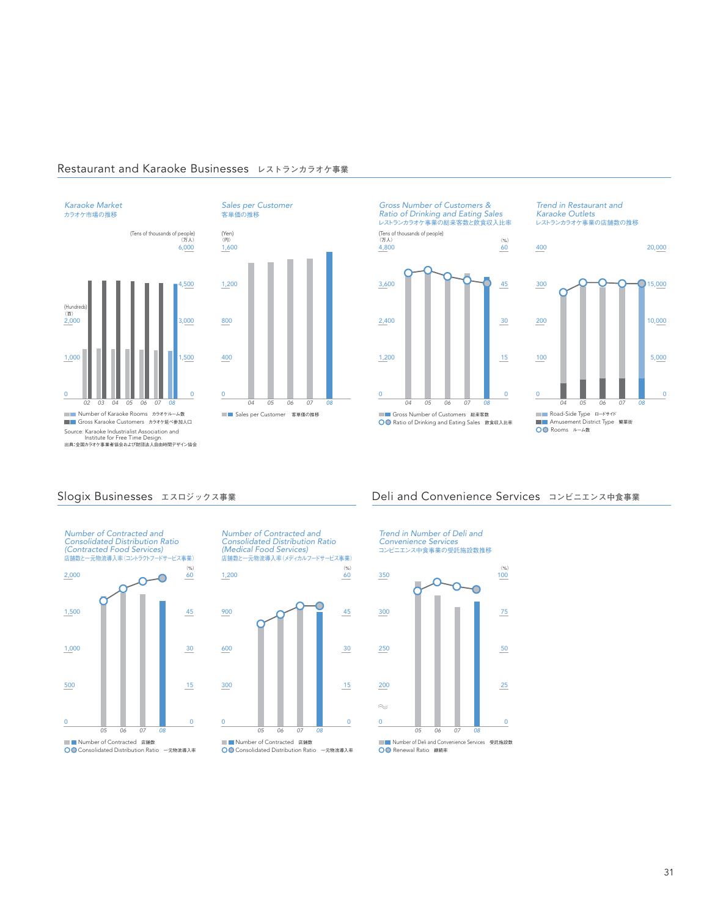





Gross Number of Customers & Ratio of Drinking and Eating Sales レストランカラオケ事業の総来客数と飲食収入比率  $4,800$  60 (Tens of thousands of people) (万人) (円) (%)







Number of Contracted and Consolidated Distribution Ratio (Medical Food Services) 店舗数と一元物流導入率(メディカルフードサービス事業)

 $(%)$ <br> $60$ 

 $1,200$ 



### Slogix Businesses **エスロジックス事業** Deli and Convenience Services **コンビニエンス中食事業**

Trend in Number of Deli and Convenience Services

コンビニエンス中食事業の受託施設数推移

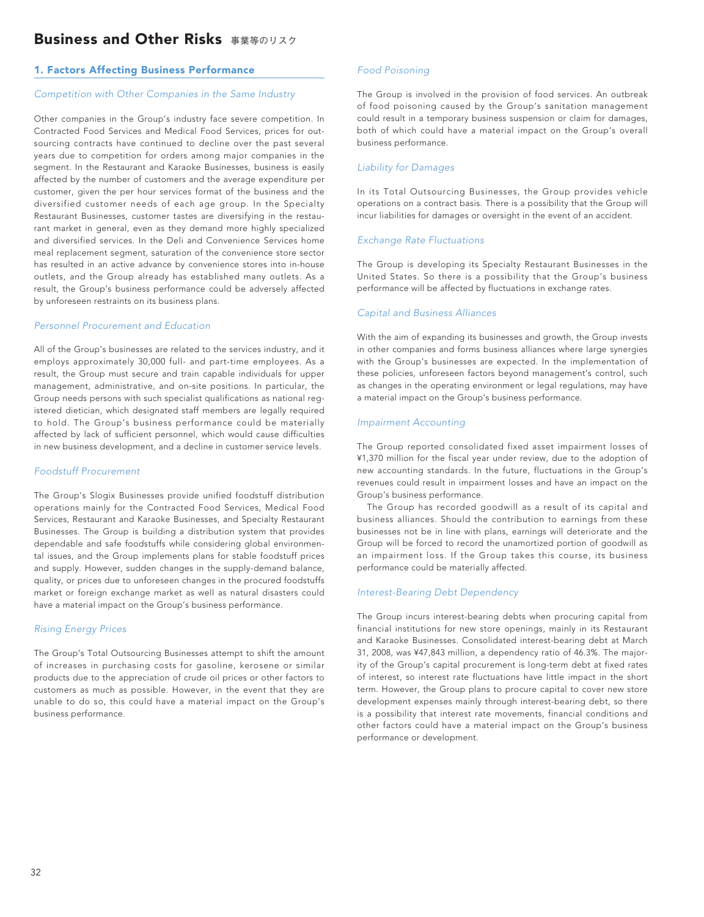### 1. Factors Affecting Business Performance

### *Competition with Other Companies in the Same Industry*

Other companies in the Group's industry face severe competition. In Contracted Food Services and Medical Food Services, prices for outsourcing contracts have continued to decline over the past several years due to competition for orders among major companies in the segment. In the Restaurant and Karaoke Businesses, business is easily affected by the number of customers and the average expenditure per customer, given the per hour services format of the business and the diversified customer needs of each age group. In the Specialty Restaurant Businesses, customer tastes are diversifying in the restaurant market in general, even as they demand more highly specialized and diversified services. In the Deli and Convenience Services home meal replacement segment, saturation of the convenience store sector has resulted in an active advance by convenience stores into in-house outlets, and the Group already has established many outlets. As a result, the Group's business performance could be adversely affected by unforeseen restraints on its business plans.

### *Personnel Procurement and Education*

All of the Group's businesses are related to the services industry, and it employs approximately 30,000 full- and part-time employees. As a result, the Group must secure and train capable individuals for upper management, administrative, and on-site positions. In particular, the Group needs persons with such specialist qualifications as national registered dietician, which designated staff members are legally required to hold. The Group's business performance could be materially affected by lack of sufficient personnel, which would cause difficulties in new business development, and a decline in customer service levels.

### *Foodstuff Procurement*

The Group's Slogix Businesses provide unified foodstuff distribution operations mainly for the Contracted Food Services, Medical Food Services, Restaurant and Karaoke Businesses, and Specialty Restaurant Businesses. The Group is building a distribution system that provides dependable and safe foodstuffs while considering global environmental issues, and the Group implements plans for stable foodstuff prices and supply. However, sudden changes in the supply-demand balance, quality, or prices due to unforeseen changes in the procured foodstuffs market or foreign exchange market as well as natural disasters could have a material impact on the Group's business performance.

### *Rising Energy Prices*

The Group's Total Outsourcing Businesses attempt to shift the amount of increases in purchasing costs for gasoline, kerosene or similar products due to the appreciation of crude oil prices or other factors to customers as much as possible. However, in the event that they are unable to do so, this could have a material impact on the Group's business performance.

### *Food Poisoning*

The Group is involved in the provision of food services. An outbreak of food poisoning caused by the Group's sanitation management could result in a temporary business suspension or claim for damages, both of which could have a material impact on the Group's overall business performance.

### *Liability for Damages*

In its Total Outsourcing Businesses, the Group provides vehicle operations on a contract basis. There is a possibility that the Group will incur liabilities for damages or oversight in the event of an accident.

### *Exchange Rate Fluctuations*

The Group is developing its Specialty Restaurant Businesses in the United States. So there is a possibility that the Group's business performance will be affected by fluctuations in exchange rates.

### *Capital and Business Alliances*

With the aim of expanding its businesses and growth, the Group invests in other companies and forms business alliances where large synergies with the Group's businesses are expected. In the implementation of these policies, unforeseen factors beyond management's control, such as changes in the operating environment or legal regulations, may have a material impact on the Group's business performance.

### *Impairment Accounting*

The Group reported consolidated fixed asset impairment losses of ¥1,370 million for the fiscal year under review, due to the adoption of new accounting standards. In the future, fluctuations in the Group's revenues could result in impairment losses and have an impact on the Group's business performance.

The Group has recorded goodwill as a result of its capital and business alliances. Should the contribution to earnings from these businesses not be in line with plans, earnings will deteriorate and the Group will be forced to record the unamortized portion of goodwill as an impairment loss. If the Group takes this course, its business performance could be materially affected.

### *Interest-Bearing Debt Dependency*

The Group incurs interest-bearing debts when procuring capital from financial institutions for new store openings, mainly in its Restaurant and Karaoke Businesses. Consolidated interest-bearing debt at March 31, 2008, was ¥47,843 million, a dependency ratio of 46.3%. The majority of the Group's capital procurement is long-term debt at fixed rates of interest, so interest rate fluctuations have little impact in the short term. However, the Group plans to procure capital to cover new store development expenses mainly through interest-bearing debt, so there is a possibility that interest rate movements, financial conditions and other factors could have a material impact on the Group's business performance or development.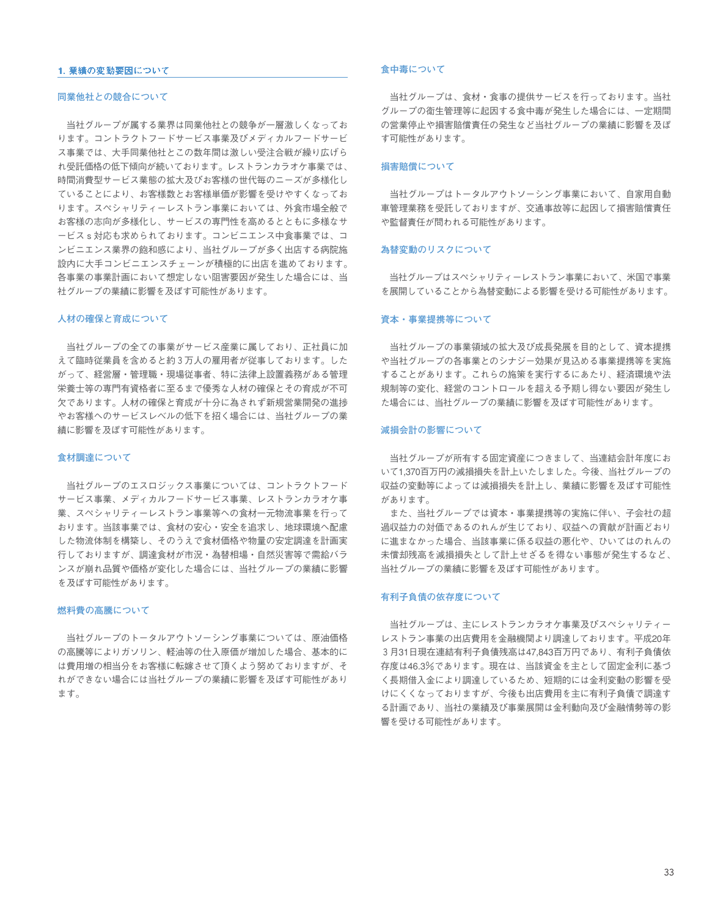### 1. 業績の変動要因について

### **同業他社との競合について**

当社グループが属する業界は同業他社との競争が一層激しくなってお ります。コントラクトフードサービス事業及びメディカルフードサービ ス事業では、大手同業他社とこの数年間は激しい受注合戦が繰り広げら れ受託価格の低下傾向が続いております。レストランカラオケ事業では、 時間消費型サービス業態の拡大及びお客様の世代毎のニーズが多様化し ていることにより、お客様数とお客様単価が影響を受けやすくなってお ります。スペシャリティーレストラン事業においては、外食市場全般で お客様の志向が多様化し、サービスの専門性を高めるとともに多様なサ ービスs対応も求められております。コンビニエンス中食事業では、コ ンビニエンス業界の飽和感により、当社グループが多く出店する病院施 設内に大手コンビニエンスチェーンが積極的に出店を進めております。 各事業の事業計画において想定しない阻害要因が発生した場合には、当 社グループの業績に影響を及ぼす可能性があります。

### **人材の確保と育成について**

当社グループの全ての事業がサービス産業に属しており、正社員に加 えて臨時従業員を含めると約3万人の雇用者が従事しております。した がって、経営層・管理職・現場従事者、特に法律上設置義務がある管理 栄養士等の専門有資格者に至るまで優秀な人材の確保とその育成が不可 欠であります。人材の確保と育成が十分に為されず新規営業開発の進捗 やお客様へのサービスレベルの低下を招く場合には、当社グループの業 績に影響を及ぼす可能性があります。

### **食材調達について**

当社グループのエスロジックス事業については、コントラクトフード サービス事業、メディカルフードサービス事業、レストランカラオケ事 業、スペシャリティーレストラン事業等への食材一元物流事業を行って おります。当該事業では、食材の安心・安全を追求し、地球環境へ配慮 した物流体制を構築し、そのうえで食材価格や物量の安定調達を計画実 行しておりますが、調達食材が市況・為替相場・自然災害等で需給バラ ンスが崩れ品質や価格が変化した場合には、当社グループの業績に影響 を及ぼす可能性があります。

#### **燃料費の高騰について**

当社グループのトータルアウトソーシング事業については、原油価格 の高騰等によりガソリン、軽油等の仕入原価が増加した場合、基本的に は費用増の相当分をお客様に転嫁させて頂くよう努めておりますが、そ れができない場合には当社グループの業績に影響を及ぼす可能性があり ます。

### **食中毒について**

当社グループは、食材・食事の提供サービスを行っております。当社 グループの衛生管理等に起因する食中毒が発生した場合には、一定期間 の営業停止や損害賠償責任の発生など当社グループの業績に影響を及ぼ す可能性があります。

### **損害賠償について**

当社グループはトータルアウトソーシング事業において、自家用自動 車管理業務を受託しておりますが、交通事故等に起因して損害賠償責任 や監督責任が問われる可能性があります。

#### **為替変動のリスクについて**

当社グループはスペシャリティーレストラン事業において、米国で事業 を展開していることから為替変動による影響を受ける可能性があります。

### **資本・事業提携等について**

当社グループの事業領域の拡大及び成長発展を目的として、資本提携 や当社グループの各事業とのシナジー効果が見込める事業提携等を実施 することがあります。これらの施策を実行するにあたり、経済環境や法 規制等の変化、経営のコントロールを超える予期し得ない要因が発生し た場合には、当社グループの業績に影響を及ぼす可能性があります。

### **減損会計の影響について**

当社グループが所有する固定資産につきまして、当連結会計年度にお いて1,370百万円の減損損失を計上いたしました。今後、当社グループの 収益の変動等によっては減損損失を計上し、業績に影響を及ぼす可能性 があります。

また、当社グループでは資本・事業提携等の実施に伴い、子会社の超 過収益力の対価であるのれんが生じており、収益への貢献が計画どおり に進まなかった場合、当該事業に係る収益の悪化や、ひいてはのれんの 未償却残高を減損損失として計上せざるを得ない事態が発生するなど、 当社グループの業績に影響を及ぼす可能性があります。

### **有利子負債の依存度について**

当社グループは、主にレストランカラオケ事業及びスペシャリティー レストラン事業の出店費用を金融機関より調達しております。平成20年 3月31日現在連結有利子負債残高は47,843百万円であり、有利子負債依 存度は46.3%であります。現在は、当該資金を主として固定金利に基づ く長期借入金により調達しているため、短期的には金利変動の影響を受 けにくくなっておりますが、今後も出店費用を主に有利子負債で調達す る計画であり、当社の業績及び事業展開は金利動向及び金融情勢等の影 響を受ける可能性があります。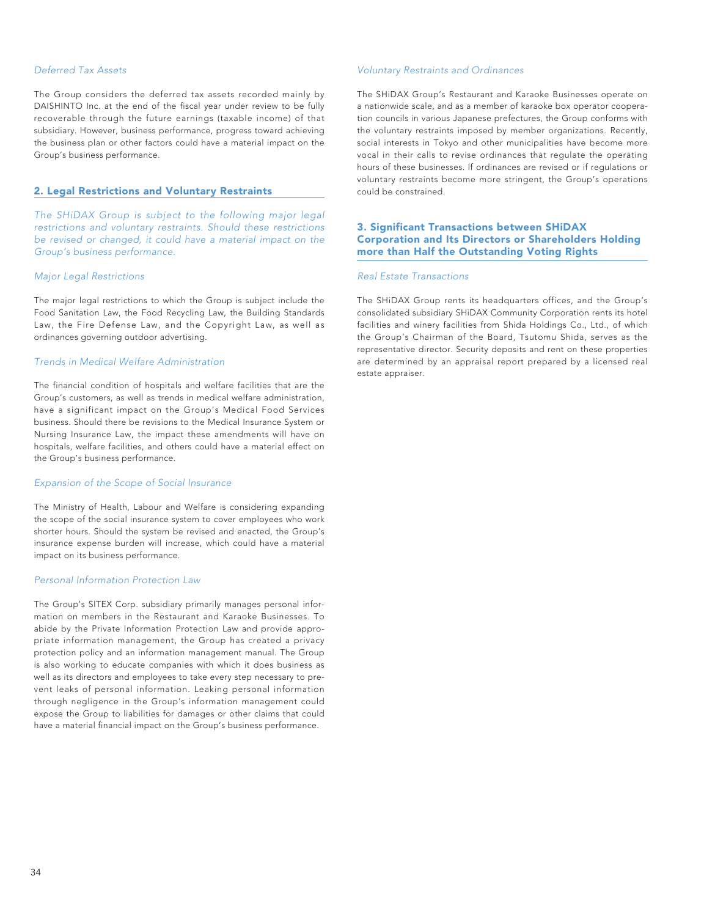### *Deferred Tax Assets*

The Group considers the deferred tax assets recorded mainly by DAISHINTO Inc. at the end of the fiscal year under review to be fully recoverable through the future earnings (taxable income) of that subsidiary. However, business performance, progress toward achieving the business plan or other factors could have a material impact on the Group's business performance.

### 2. Legal Restrictions and Voluntary Restraints

*The SHiDAX Group is subject to the following major legal restrictions and voluntary restraints. Should these restrictions be revised or changed, it could have a material impact on the Group's business performance.*

### *Major Legal Restrictions*

The major legal restrictions to which the Group is subject include the Food Sanitation Law, the Food Recycling Law, the Building Standards Law, the Fire Defense Law, and the Copyright Law, as well as ordinances governing outdoor advertising.

### *Trends in Medical Welfare Administration*

The financial condition of hospitals and welfare facilities that are the Group's customers, as well as trends in medical welfare administration, have a significant impact on the Group's Medical Food Services business. Should there be revisions to the Medical Insurance System or Nursing Insurance Law, the impact these amendments will have on hospitals, welfare facilities, and others could have a material effect on the Group's business performance.

### *Expansion of the Scope of Social Insurance*

The Ministry of Health, Labour and Welfare is considering expanding the scope of the social insurance system to cover employees who work shorter hours. Should the system be revised and enacted, the Group's insurance expense burden will increase, which could have a material impact on its business performance.

### *Personal Information Protection Law*

The Group's SITEX Corp. subsidiary primarily manages personal information on members in the Restaurant and Karaoke Businesses. To abide by the Private Information Protection Law and provide appropriate information management, the Group has created a privacy protection policy and an information management manual. The Group is also working to educate companies with which it does business as well as its directors and employees to take every step necessary to prevent leaks of personal information. Leaking personal information through negligence in the Group's information management could expose the Group to liabilities for damages or other claims that could have a material financial impact on the Group's business performance.

### *Voluntary Restraints and Ordinances*

The SHiDAX Group's Restaurant and Karaoke Businesses operate on a nationwide scale, and as a member of karaoke box operator cooperation councils in various Japanese prefectures, the Group conforms with the voluntary restraints imposed by member organizations. Recently, social interests in Tokyo and other municipalities have become more vocal in their calls to revise ordinances that regulate the operating hours of these businesses. If ordinances are revised or if regulations or voluntary restraints become more stringent, the Group's operations could be constrained.

### 3. Significant Transactions between SHiDAX Corporation and Its Directors or Shareholders Holding more than Half the Outstanding Voting Rights

### *Real Estate Transactions*

The SHiDAX Group rents its headquarters offices, and the Group's consolidated subsidiary SHiDAX Community Corporation rents its hotel facilities and winery facilities from Shida Holdings Co., Ltd., of which the Group's Chairman of the Board, Tsutomu Shida, serves as the representative director. Security deposits and rent on these properties are determined by an appraisal report prepared by a licensed real estate appraiser.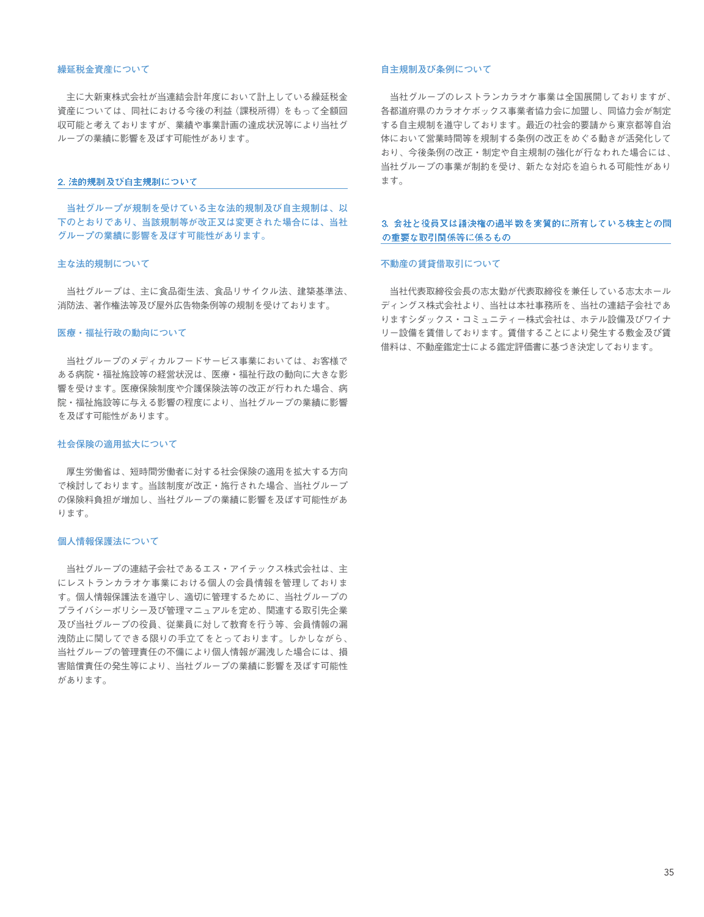### **繰延税金資産について**

主に大新東株式会社が当連結会計年度において計上している繰延税金 資産については、同社における今後の利益(課税所得)をもって全額回 収可能と考えておりますが、業績や事業計画の達成状況等により当社グ ループの業績に影響を及ぼす可能性があります。

#### 2. 法的规制及び自主规制について

**当社グループが規制を受けている主な法的規制及び自主規制は、以 下のとおりであり、当該規制等が改正又は変更された場合には、当社 グループの業績に影響を及ぼす可能性があります。**

### **主な法的規制について**

当社グループは、主に食品衛生法、食品リサイクル法、建築基準法、 消防法、著作権法等及び屋外広告物条例等の規制を受けております。

#### **医療・福祉行政の動向について**

当社グループのメディカルフードサービス事業においては、お客様で ある病院・福祉施設等の経営状況は、医療・福祉行政の動向に大きな影 響を受けます。医療保険制度や介護保険法等の改正が行われた場合、病 院・福祉施設等に与える影響の程度により、当社グループの業績に影響 を及ぼす可能性があります。

### **社会保険の適用拡大について**

厚生労働省は、短時間労働者に対する社会保険の適用を拡大する方向 で検討しております。当該制度が改正・施行された場合、当社グループ の保険料負担が増加し、当社グループの業績に影響を及ぼす可能性があ ります。

### **個人情報保護法について**

当社グループの連結子会社であるエス・アイテックス株式会社は、主 にレストランカラオケ事業における個人の会員情報を管理しておりま す。個人情報保護法を遵守し、適切に管理するために、当社グループの プライバシーポリシー及び管理マニュアルを定め、関連する取引先企業 及び当社グループの役員、従業員に対して教育を行う等、会員情報の漏 洩防止に関してできる限りの手立てをとっております。しかしながら、 当社グループの管理責任の不備により個人情報が漏洩した場合には、損 害賠償責任の発生等により、当社グループの業績に影響を及ぼす可能性 があります。

### **自主規制及び条例について**

当社グループのレストランカラオケ事業は全国展開しておりますが、 各都道府県のカラオケボックス事業者協力会に加盟し、同協力会が制定 する自主規制を遵守しております。最近の社会的要請から東京都等自治 体において営業時間等を規制する条例の改正をめぐる動きが活発化して おり、今後条例の改正・制定や自主規制の強化が行なわれた場合には、 当社グループの事業が制約を受け、新たな対応を迫られる可能性があり ます。

### 3. 会社と役員又は議決権の過半数を実質的に所有している株主との間 の重要な取引関係等に係るもの

### **不動産の賃貸借取引について**

当社代表取締役会長の志太勤が代表取締役を兼任している志太ホール ディングス株式会社より、当社は本社事務所を、当社の連結子会社であ りますシダックス・コミュニティー株式会社は、ホテル設備及びワイナ リー設備を賃借しております。賃借することにより発生する敷金及び賃 借料は、不動産鑑定士による鑑定評価書に基づき決定しております。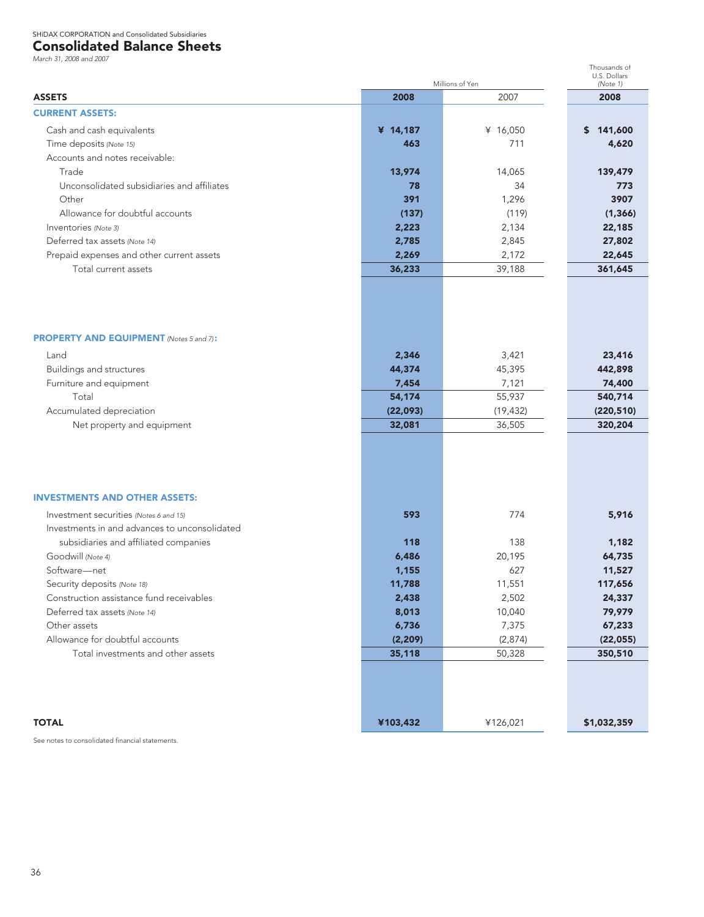### Consolidated Balance Sheets

*March 31, 2008 and 2007*

| iviaich JT, 2000 and 2007                      |          | Millions of Yen | Thousands of<br>U.S. Dollars<br>(Note 1) |  |
|------------------------------------------------|----------|-----------------|------------------------------------------|--|
| <b>ASSETS</b>                                  | 2008     | 2007            | 2008                                     |  |
| <b>CURRENT ASSETS:</b>                         |          |                 |                                          |  |
| Cash and cash equivalents                      | ¥ 14,187 | ¥ 16,050        | \$141,600                                |  |
| Time deposits (Note 15)                        | 463      | 711             | 4,620                                    |  |
| Accounts and notes receivable:                 |          |                 |                                          |  |
| Trade                                          | 13,974   | 14,065          | 139,479                                  |  |
| Unconsolidated subsidiaries and affiliates     | 78       | 34              | 773                                      |  |
| Other                                          | 391      | 1,296           | 3907                                     |  |
| Allowance for doubtful accounts                | (137)    | (119)           | (1, 366)                                 |  |
| Inventories (Note 3)                           | 2,223    | 2,134           | 22,185                                   |  |
| Deferred tax assets (Note 14)                  | 2,785    | 2,845           | 27,802                                   |  |
| Prepaid expenses and other current assets      | 2,269    | 2,172           | 22,645                                   |  |
| Total current assets                           | 36,233   | 39,188          | 361,645                                  |  |
|                                                |          |                 |                                          |  |
| <b>PROPERTY AND EQUIPMENT</b> (Notes 5 and 7): |          |                 |                                          |  |
| Land                                           | 2,346    | 3,421           | 23,416                                   |  |
| <b>Buildings and structures</b>                | 44,374   | 45,395          | 442,898                                  |  |
| Furniture and equipment                        | 7,454    | 7,121           | 74,400                                   |  |
| Total                                          | 54,174   | 55,937          | 540,714                                  |  |
| Accumulated depreciation                       | (22,093) | (19, 432)       | (220, 510)                               |  |
| Net property and equipment                     | 32,081   | 36,505          | 320,204                                  |  |
|                                                |          |                 |                                          |  |
| <b>INVESTMENTS AND OTHER ASSETS:</b>           |          |                 |                                          |  |
| Investment securities (Notes 6 and 15)         | 593      | 774             | 5,916                                    |  |
| Investments in and advances to unconsolidated  |          |                 |                                          |  |
| subsidiaries and affiliated companies          | 118      | 138             | 1,182                                    |  |
| Goodwill (Note 4)                              | 6,486    | 20,195          | 64,735                                   |  |
| Software-net                                   | 1,155    | 627             | 11,527                                   |  |
| Security deposits (Note 18)                    | 11,788   | 11,551          | 117,656                                  |  |
| Construction assistance fund receivables       | 2,438    | 2,502           | 24,337                                   |  |
| Deferred tax assets (Note 14)                  | 8,013    | 10,040          | 79,979                                   |  |
| Other assets                                   | 6,736    | 7,375           | 67,233                                   |  |
| Allowance for doubtful accounts                | (2, 209) | (2,874)         | (22, 055)                                |  |
| Total investments and other assets             | 35,118   | 50,328          | 350,510                                  |  |
| <b>TOTAL</b>                                   |          |                 | \$1,032,359                              |  |
|                                                | ¥103,432 | ¥126,021        |                                          |  |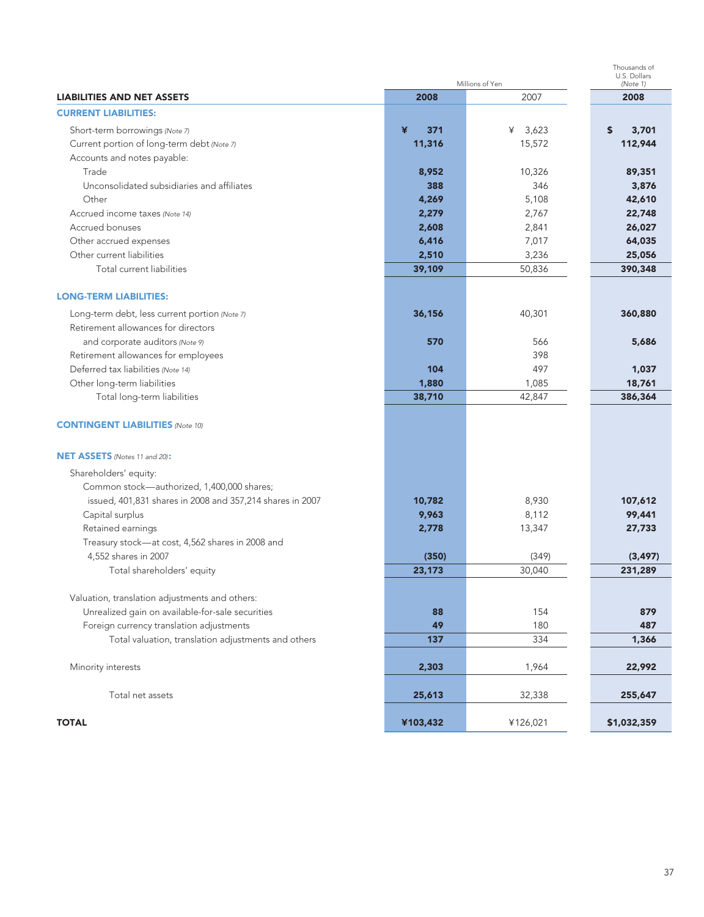|                                                           | Millions of Yen | Thousands of<br>U.S. Dollars<br>(Note 1) |             |  |  |
|-----------------------------------------------------------|-----------------|------------------------------------------|-------------|--|--|
| <b>LIABILITIES AND NET ASSETS</b>                         | 2008            | 2007                                     | 2008        |  |  |
| <b>CURRENT LIABILITIES:</b>                               |                 |                                          |             |  |  |
| Short-term borrowings (Note 7)                            | ¥<br>371        | ¥ $3,623$                                | 3,701<br>S  |  |  |
| Current portion of long-term debt (Note 7)                | 11,316          | 15,572                                   | 112,944     |  |  |
| Accounts and notes payable:                               |                 |                                          |             |  |  |
| Trade                                                     | 8,952           | 10,326                                   | 89,351      |  |  |
| Unconsolidated subsidiaries and affiliates                | 388             | 346                                      | 3,876       |  |  |
| Other                                                     | 4,269           | 5,108                                    | 42,610      |  |  |
| Accrued income taxes (Note 14)                            | 2,279           | 2,767                                    | 22,748      |  |  |
| Accrued bonuses                                           | 2,608           | 2,841                                    | 26,027      |  |  |
| Other accrued expenses                                    | 6,416           | 7,017                                    | 64,035      |  |  |
| Other current liabilities                                 | 2,510           | 3,236                                    | 25,056      |  |  |
| Total current liabilities                                 | 39,109          | 50,836                                   | 390,348     |  |  |
|                                                           |                 |                                          |             |  |  |
| <b>LONG-TERM LIABILITIES:</b>                             |                 |                                          |             |  |  |
| Long-term debt, less current portion (Note 7)             | 36,156          | 40,301                                   | 360,880     |  |  |
| Retirement allowances for directors                       |                 |                                          |             |  |  |
| and corporate auditors (Note 9)                           | 570             | 566                                      | 5,686       |  |  |
| Retirement allowances for employees                       |                 | 398                                      |             |  |  |
| Deferred tax liabilities (Note 14)                        | 104             | 497                                      | 1,037       |  |  |
| Other long-term liabilities                               | 1,880           | 1,085                                    | 18,761      |  |  |
| Total long-term liabilities                               | 38,710          | 42,847                                   | 386,364     |  |  |
|                                                           |                 |                                          |             |  |  |
| <b>CONTINGENT LIABILITIES (Note 10)</b>                   |                 |                                          |             |  |  |
|                                                           |                 |                                          |             |  |  |
| NET ASSETS (Notes 11 and 20):                             |                 |                                          |             |  |  |
| Shareholders' equity:                                     |                 |                                          |             |  |  |
| Common stock-authorized, 1,400,000 shares;                |                 |                                          |             |  |  |
| issued, 401,831 shares in 2008 and 357,214 shares in 2007 | 10,782          | 8,930                                    | 107,612     |  |  |
| Capital surplus                                           | 9,963           | 8,112                                    | 99,441      |  |  |
| Retained earnings                                         | 2,778           | 13,347                                   | 27,733      |  |  |
| Treasury stock-at cost, 4,562 shares in 2008 and          |                 |                                          |             |  |  |
| 4,552 shares in 2007                                      | (350)           | (349)                                    | (3, 497)    |  |  |
| Total shareholders' equity                                | 23,173          | 30,040                                   | 231,289     |  |  |
|                                                           |                 |                                          |             |  |  |
| Valuation, translation adjustments and others:            |                 |                                          |             |  |  |
| Unrealized gain on available-for-sale securities          | 88              | 154                                      | 879         |  |  |
| Foreign currency translation adjustments                  | 49              | 180                                      | 487         |  |  |
| Total valuation, translation adjustments and others       | 137             | 334                                      | 1,366       |  |  |
|                                                           |                 |                                          |             |  |  |
| Minority interests                                        | 2,303           | 1,964                                    | 22,992      |  |  |
| Total net assets                                          | 25,613          | 32,338                                   | 255,647     |  |  |
|                                                           |                 |                                          |             |  |  |
| <b>TOTAL</b>                                              | ¥103,432        | ¥126,021                                 | \$1,032,359 |  |  |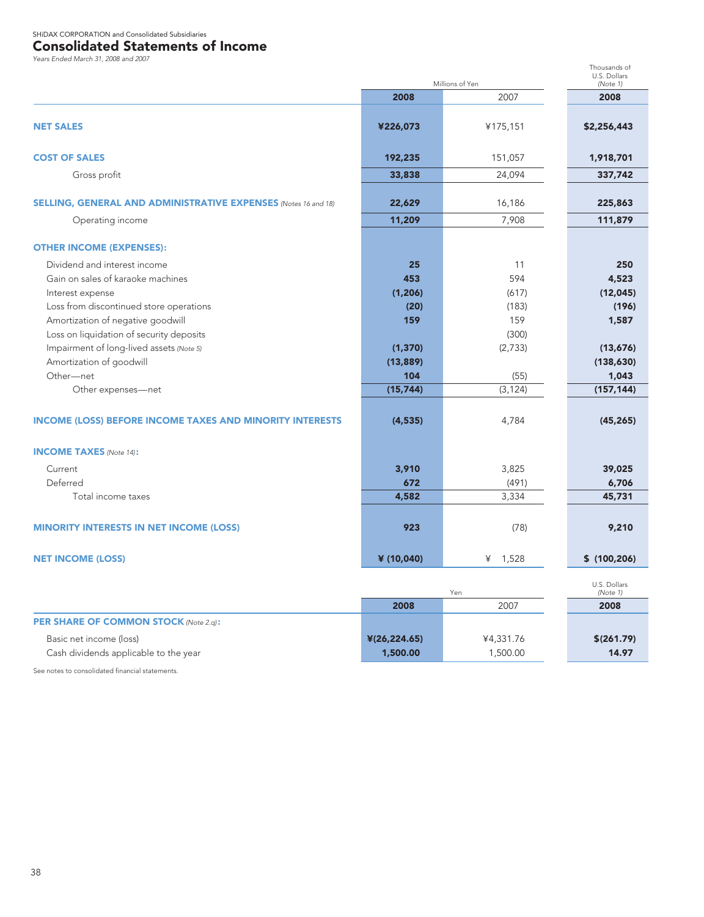### Consolidated Statements of Income

*Years Ended March 31, 2008 and 2007*

|                                                                 | Millions of Yen | Thousands of<br>U.S. Dollars<br>(Note 1) |                          |
|-----------------------------------------------------------------|-----------------|------------------------------------------|--------------------------|
|                                                                 | 2008            | 2007                                     | 2008                     |
| <b>NET SALES</b>                                                | ¥226,073        | ¥175,151                                 | \$2,256,443              |
| <b>COST OF SALES</b>                                            | 192,235         | 151,057                                  | 1,918,701                |
| Gross profit                                                    | 33,838          | 24,094                                   | 337,742                  |
| SELLING, GENERAL AND ADMINISTRATIVE EXPENSES (Notes 16 and 18)  | 22,629          | 16,186                                   | 225,863                  |
| Operating income                                                | 11,209          | 7,908                                    | 111,879                  |
| <b>OTHER INCOME (EXPENSES):</b>                                 |                 |                                          |                          |
| Dividend and interest income                                    | 25              | 11                                       | 250                      |
| Gain on sales of karaoke machines                               | 453             | 594                                      | 4,523                    |
| Interest expense                                                | (1, 206)        | (617)                                    | (12, 045)                |
| Loss from discontinued store operations                         | (20)            | (183)                                    | (196)                    |
| Amortization of negative goodwill                               | 159             | 159                                      | 1,587                    |
| Loss on liquidation of security deposits                        |                 | (300)                                    |                          |
| Impairment of long-lived assets (Note 5)                        | (1, 370)        | (2,733)                                  | (13,676)                 |
| Amortization of goodwill                                        | (13, 889)       |                                          | (138, 630)               |
| Other-net                                                       | 104             | (55)                                     | 1,043                    |
| Other expenses-net                                              | (15, 744)       | (3, 124)                                 | (157, 144)               |
| <b>INCOME (LOSS) BEFORE INCOME TAXES AND MINORITY INTERESTS</b> | (4, 535)        | 4,784                                    | (45, 265)                |
| <b>INCOME TAXES</b> (Note 14):                                  |                 |                                          |                          |
| Current                                                         | 3,910           | 3,825                                    | 39,025                   |
| Deferred                                                        | 672             | (491)                                    | 6,706                    |
| Total income taxes                                              | 4,582           | 3,334                                    | 45,731                   |
| <b>MINORITY INTERESTS IN NET INCOME (LOSS)</b>                  | 923             | (78)                                     | 9,210                    |
| <b>NET INCOME (LOSS)</b>                                        | ¥ (10,040)      | 1,528<br>¥                               | \$(100, 206)             |
|                                                                 |                 | Yen                                      | U.S. Dollars<br>(Note 1) |
|                                                                 | 2008            | 2007                                     | 2008                     |
| <b>PER SHARE OF COMMON STOCK (Note 2.g):</b>                    |                 |                                          |                          |
| Basic net income (loss)                                         | ¥(26,224.65)    | ¥4,331.76                                | \$(261.79)               |
| Cash dividends applicable to the year                           | 1,500.00        | 1,500.00                                 | 14.97                    |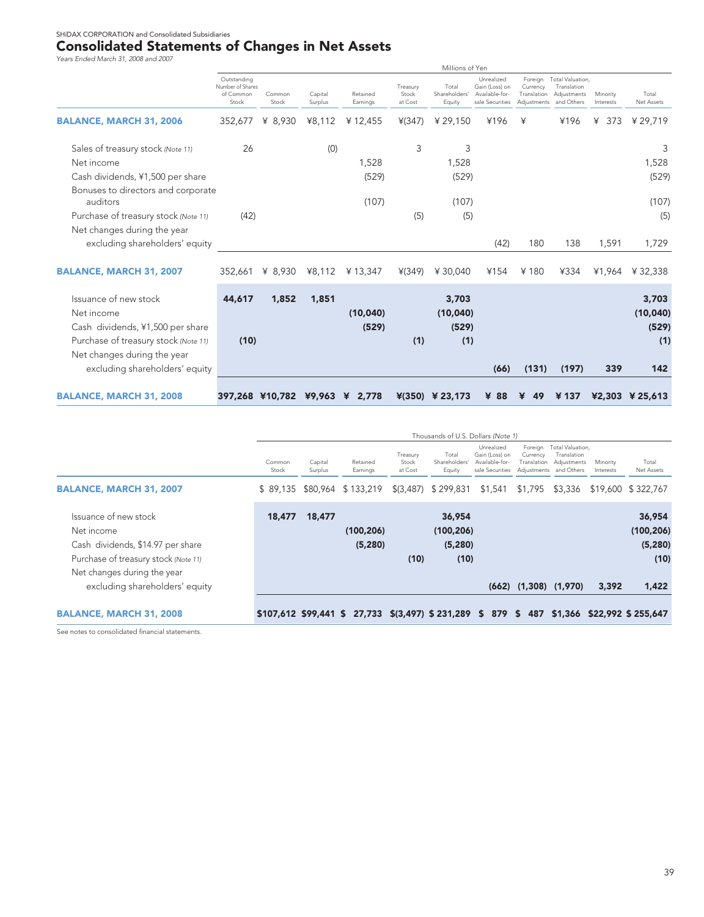# Consolidated Statements of Changes in Net Assets *Years Ended March 31, 2008 and 2007*

| rears Ended March 31, 2000 and 2007                                                                                                            |                                                       |                     |                    |                                |                              | Millions of Yen                    |                                                                   |                         |                                                                                  |                       |                                   |
|------------------------------------------------------------------------------------------------------------------------------------------------|-------------------------------------------------------|---------------------|--------------------|--------------------------------|------------------------------|------------------------------------|-------------------------------------------------------------------|-------------------------|----------------------------------------------------------------------------------|-----------------------|-----------------------------------|
|                                                                                                                                                | Outstanding<br>Number of Shares<br>of Common<br>Stock | Common<br>Stock     | Capital<br>Surplus | Retained<br>Earnings           | Treasury<br>Stock<br>at Cost | Total<br>Shareholders'<br>Equity   | Unrealized<br>Gain (Loss) on<br>Available-for-<br>sale Securities | Currency<br>Translation | Foreign Total Valuation,<br>Translation<br>Adjustments<br>Adjustments and Others | Minority<br>Interests | Total<br><b>Net Assets</b>        |
| <b>BALANCE, MARCH 31, 2006</b>                                                                                                                 | 352,677                                               | ¥ 8,930             | ¥8,112             | ¥12,455                        | ¥(347)                       | ¥29,150                            | ¥196                                                              | ¥                       | ¥196                                                                             | ¥ 373                 | ¥29,719                           |
| Sales of treasury stock (Note 11)                                                                                                              | 26                                                    |                     | (0)                |                                | 3                            | 3                                  |                                                                   |                         |                                                                                  |                       | 3                                 |
| Net income                                                                                                                                     |                                                       |                     |                    | 1,528                          |                              | 1,528                              |                                                                   |                         |                                                                                  |                       | 1,528                             |
| Cash dividends, ¥1,500 per share                                                                                                               |                                                       |                     |                    | (529)                          |                              | (529)                              |                                                                   |                         |                                                                                  |                       | (529)                             |
| Bonuses to directors and corporate<br>auditors                                                                                                 |                                                       |                     |                    | (107)                          |                              | (107)                              |                                                                   |                         |                                                                                  |                       | (107)                             |
| Purchase of treasury stock (Note 11)                                                                                                           | (42)                                                  |                     |                    |                                | (5)                          | (5)                                |                                                                   |                         |                                                                                  |                       | (5)                               |
| Net changes during the year<br>excluding shareholders' equity                                                                                  |                                                       |                     |                    |                                |                              |                                    | (42)                                                              | 180                     | 138                                                                              | 1,591                 | 1,729                             |
| <b>BALANCE, MARCH 31, 2007</b>                                                                                                                 |                                                       | 352,661 \, \, 8,930 | ¥8,112             | ¥ 13,347                       | ¥(349)                       | ¥ 30,040                           | ¥154                                                              | ¥180                    | ¥334                                                                             | ¥1.964                | ¥32,338                           |
| Issuance of new stock<br>Net income<br>Cash dividends, ¥1,500 per share<br>Purchase of treasury stock (Note 11)<br>Net changes during the year | 44,617<br>(10)                                        | 1,852               | 1,851              | (10,040)<br>(529)              | (1)                          | 3,703<br>(10, 040)<br>(529)<br>(1) |                                                                   |                         |                                                                                  |                       | 3,703<br>(10,040)<br>(529)<br>(1) |
| excluding shareholders' equity                                                                                                                 |                                                       |                     |                    |                                |                              |                                    | (66)                                                              | (131)                   | (197)                                                                            | 339                   | 142                               |
|                                                                                                                                                |                                                       |                     |                    |                                |                              |                                    |                                                                   |                         |                                                                                  |                       |                                   |
| <b>BALANCE, MARCH 31, 2008</b>                                                                                                                 |                                                       |                     |                    | 397,268 ¥10,782 ¥9,963 ¥ 2,778 |                              | $*(350)$ ¥ 23,173                  | ¥ 88                                                              | 49<br>¥                 | ¥ 137                                                                            |                       | ¥2,303 ¥ 25,613                   |

|                                                                                                                  |                 |                    |                                                                                             |                              | Thousands of U.S. Dollars (Note 1)       |                                                                   |                                    |                                                                          |                       |                                          |
|------------------------------------------------------------------------------------------------------------------|-----------------|--------------------|---------------------------------------------------------------------------------------------|------------------------------|------------------------------------------|-------------------------------------------------------------------|------------------------------------|--------------------------------------------------------------------------|-----------------------|------------------------------------------|
|                                                                                                                  | Common<br>Stock | Capital<br>Surplus | Retained<br>Earnings                                                                        | Treasury<br>Stock<br>at Cost | Total<br>Shareholders'<br>Equity         | Unrealized<br>Gain (Loss) on<br>Available-for-<br>sale Securities | Foreign<br>Currency<br>Translation | Total Valuation,<br>Translation<br>Adjustments<br>Adjustments and Others | Minority<br>Interests | Total<br>Net Assets                      |
| <b>BALANCE, MARCH 31, 2007</b>                                                                                   |                 |                    | \$89.135 \$80.964 \$133.219                                                                 |                              | $$(3,487)$ \$ 299,831                    | \$1,541                                                           | \$1,795 \$3,336                    |                                                                          |                       | \$19,600 \$322.767                       |
| Issuance of new stock<br>Net income<br>Cash dividends, \$14.97 per share<br>Purchase of treasury stock (Note 11) | 18,477          | 18,477             | (100, 206)<br>(5,280)                                                                       | (10)                         | 36,954<br>(100, 206)<br>(5, 280)<br>(10) |                                                                   |                                    |                                                                          |                       | 36,954<br>(100, 206)<br>(5, 280)<br>(10) |
| Net changes during the year<br>excluding shareholders' equity                                                    |                 |                    |                                                                                             |                              |                                          |                                                                   |                                    | $(662)$ $(1,308)$ $(1,970)$                                              | 3,392                 | 1,422                                    |
| <b>BALANCE, MARCH 31, 2008</b>                                                                                   |                 |                    | \$107,612 \$99,441 \$ 27,733 \$(3,497) \$ 231,289 \$ 879 \$ 487 \$1,366 \$22,992 \$ 255,647 |                              |                                          |                                                                   |                                    |                                                                          |                       |                                          |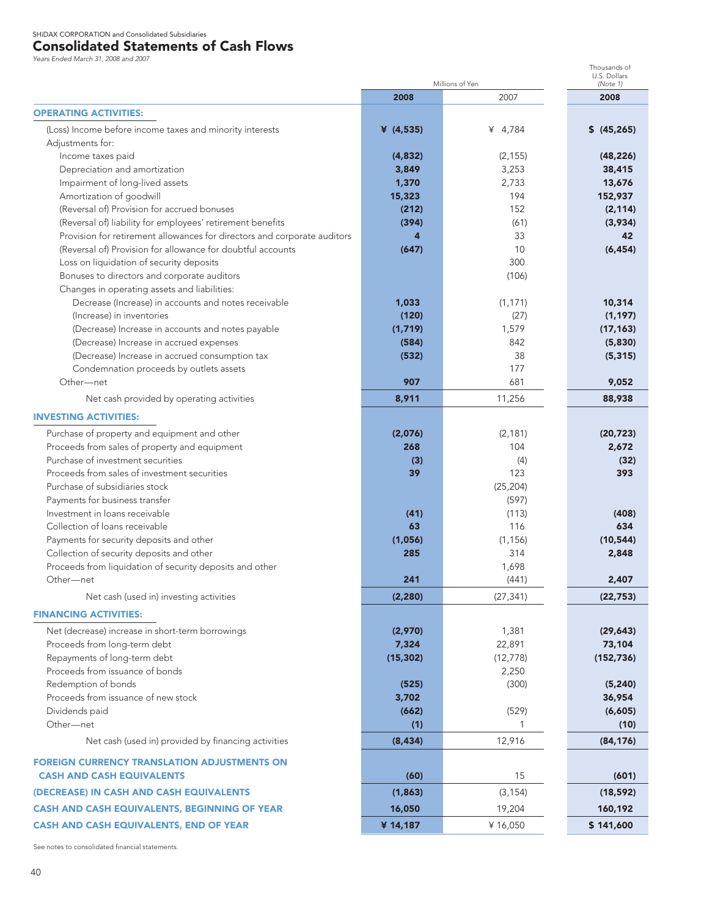## Consolidated Statements of Cash Flows

*Years Ended March 31, 2008 and 2007*

|                                                                          |             | Millions of Yen | Thousands of<br>U.S. Dollars<br>(Note 1) |
|--------------------------------------------------------------------------|-------------|-----------------|------------------------------------------|
|                                                                          | 2008        | 2007            | 2008                                     |
| <b>OPERATING ACTIVITIES:</b>                                             |             |                 |                                          |
| (Loss) Income before income taxes and minority interests                 | ¥ $(4,535)$ | ¥ 4,784         | \$ (45, 265)                             |
| Adjustments for:                                                         |             |                 |                                          |
| Income taxes paid                                                        | (4,832)     | (2, 155)        | (48, 226)                                |
| Depreciation and amortization                                            | 3,849       | 3,253           | 38,415                                   |
| Impairment of long-lived assets                                          | 1,370       | 2,733           | 13,676                                   |
| Amortization of goodwill                                                 | 15,323      | 194             | 152,937                                  |
| (Reversal of) Provision for accrued bonuses                              | (212)       | 152             | (2, 114)                                 |
| (Reversal of) liability for employees' retirement benefits               | (394)       | (61)            | (3,934)                                  |
| Provision for retirement allowances for directors and corporate auditors | 4           | 33              | 42                                       |
| (Reversal of) Provision for allowance for doubtful accounts              | (647)       | 10              | (6, 454)                                 |
| Loss on liquidation of security deposits                                 |             | 300             |                                          |
| Bonuses to directors and corporate auditors                              |             | (106)           |                                          |
| Changes in operating assets and liabilities:                             |             |                 |                                          |
| Decrease (Increase) in accounts and notes receivable                     | 1,033       | (1, 171)        | 10,314                                   |
| (Increase) in inventories                                                | (120)       | (27)            | (1, 197)                                 |
| (Decrease) Increase in accounts and notes payable                        | (1,719)     | 1,579           | (17, 163)                                |
| (Decrease) Increase in accrued expenses                                  | (584)       | 842             | (5,830)                                  |
| (Decrease) Increase in accrued consumption tax                           | (532)       | 38              | (5, 315)                                 |
| Condemnation proceeds by outlets assets                                  |             | 177             |                                          |
| Other-net                                                                | 907         | 681             | 9,052                                    |
| Net cash provided by operating activities                                | 8,911       | 11,256          | 88,938                                   |
| <b>INVESTING ACTIVITIES:</b>                                             |             |                 |                                          |
| Purchase of property and equipment and other                             | (2,076)     | (2, 181)        | (20, 723)                                |
| Proceeds from sales of property and equipment                            | 268         | 104             | 2,672                                    |
| Purchase of investment securities                                        | (3)         | (4)             | (32)                                     |
| Proceeds from sales of investment securities                             | 39          | 123             | 393                                      |
| Purchase of subsidiaries stock                                           |             | (25, 204)       |                                          |
| Payments for business transfer                                           |             | (597)           |                                          |
| Investment in loans receivable                                           | (41)        | (113)           | (408)                                    |
| Collection of loans receivable                                           | 63          | 116             | 634                                      |
| Payments for security deposits and other                                 | (1,056)     | (1, 156)        | (10, 544)                                |
| Collection of security deposits and other                                | 285         | 314             | 2,848                                    |
| Proceeds from liquidation of security deposits and other                 |             | 1,698           |                                          |
| Other-net                                                                | 241         | (441)           | 2,407                                    |
| Net cash (used in) investing activities                                  | (2, 280)    | (27, 341)       | (22, 753)                                |
| <b>FINANCING ACTIVITIES:</b>                                             |             |                 |                                          |
| Net (decrease) increase in short-term borrowings                         | (2,970)     | 1,381           | (29, 643)                                |
| Proceeds from long-term debt                                             | 7,324       | 22,891          | 73,104                                   |
| Repayments of long-term debt                                             | (15, 302)   | (12, 778)       | (152, 736)                               |
| Proceeds from issuance of bonds                                          |             | 2,250           |                                          |
| Redemption of bonds                                                      | (525)       | (300)           | (5, 240)                                 |
| Proceeds from issuance of new stock                                      | 3,702       |                 | 36,954                                   |
| Dividends paid                                                           | (662)       | (529)           | (6,605)                                  |
| Other-net                                                                | (1)         | 1               | (10)                                     |
| Net cash (used in) provided by financing activities                      | (8, 434)    | 12,916          | (84, 176)                                |
| <b>FOREIGN CURRENCY TRANSLATION ADJUSTMENTS ON</b>                       |             |                 |                                          |
| <b>CASH AND CASH EQUIVALENTS</b>                                         | (60)        | 15              | (601)                                    |
| (DECREASE) IN CASH AND CASH EQUIVALENTS                                  | (1,863)     | (3, 154)        | (18, 592)                                |
| <b>CASH AND CASH EQUIVALENTS, BEGINNING OF YEAR</b>                      | 16,050      | 19,204          | 160,192                                  |
| <b>CASH AND CASH EQUIVALENTS, END OF YEAR</b>                            | ¥ 14,187    | ¥16,050         | \$141,600                                |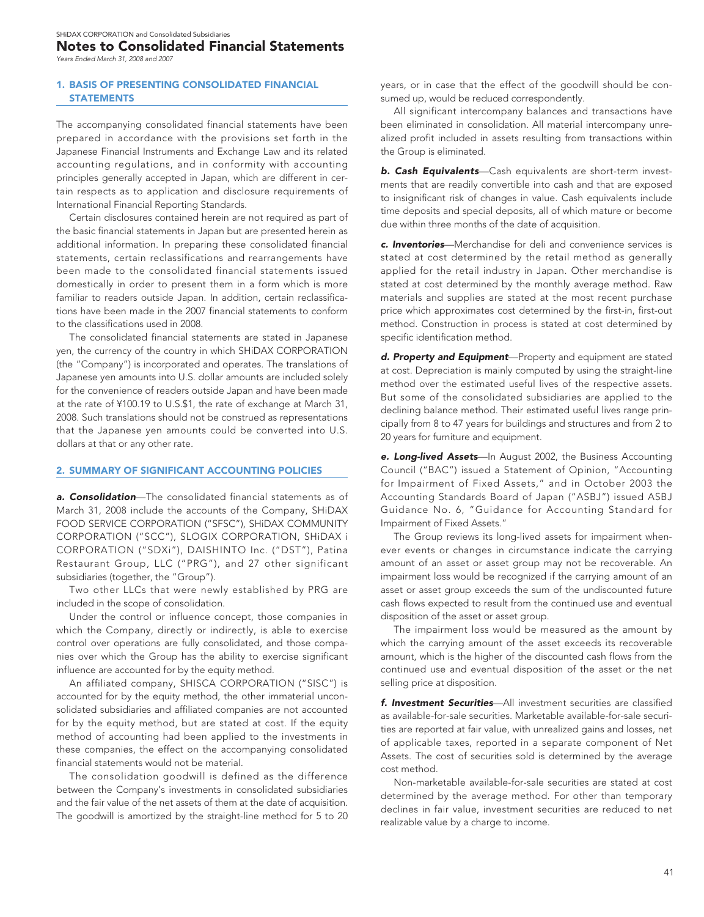### Notes to Consolidated Financial Statements

*Years Ended March 31, 2008 and 2007*

### 1. BASIS OF PRESENTING CONSOLIDATED FINANCIAL **STATEMENTS**

The accompanying consolidated financial statements have been prepared in accordance with the provisions set forth in the Japanese Financial Instruments and Exchange Law and its related accounting regulations, and in conformity with accounting principles generally accepted in Japan, which are different in certain respects as to application and disclosure requirements of International Financial Reporting Standards.

Certain disclosures contained herein are not required as part of the basic financial statements in Japan but are presented herein as additional information. In preparing these consolidated financial statements, certain reclassifications and rearrangements have been made to the consolidated financial statements issued domestically in order to present them in a form which is more familiar to readers outside Japan. In addition, certain reclassifications have been made in the 2007 financial statements to conform to the classifications used in 2008.

The consolidated financial statements are stated in Japanese yen, the currency of the country in which SHiDAX CORPORATION (the "Company") is incorporated and operates. The translations of Japanese yen amounts into U.S. dollar amounts are included solely for the convenience of readers outside Japan and have been made at the rate of ¥100.19 to U.S.\$1, the rate of exchange at March 31, 2008. Such translations should not be construed as representations that the Japanese yen amounts could be converted into U.S. dollars at that or any other rate.

### 2. SUMMARY OF SIGNIFICANT ACCOUNTING POLICIES

*a. Consolidation*—The consolidated financial statements as of March 31, 2008 include the accounts of the Company, SHiDAX FOOD SERVICE CORPORATION ("SFSC"), SHiDAX COMMUNITY CORPORATION ("SCC"), SLOGIX CORPORATION, SHiDAX i CORPORATION ("SDXi"), DAISHINTO Inc. ("DST"), Patina Restaurant Group, LLC ("PRG"), and 27 other significant subsidiaries (together, the "Group").

Two other LLCs that were newly established by PRG are included in the scope of consolidation.

Under the control or influence concept, those companies in which the Company, directly or indirectly, is able to exercise control over operations are fully consolidated, and those companies over which the Group has the ability to exercise significant influence are accounted for by the equity method.

An affiliated company, SHISCA CORPORATION ("SISC") is accounted for by the equity method, the other immaterial unconsolidated subsidiaries and affiliated companies are not accounted for by the equity method, but are stated at cost. If the equity method of accounting had been applied to the investments in these companies, the effect on the accompanying consolidated financial statements would not be material.

The consolidation goodwill is defined as the difference between the Company's investments in consolidated subsidiaries and the fair value of the net assets of them at the date of acquisition. The goodwill is amortized by the straight-line method for 5 to 20

years, or in case that the effect of the goodwill should be consumed up, would be reduced correspondently.

All significant intercompany balances and transactions have been eliminated in consolidation. All material intercompany unrealized profit included in assets resulting from transactions within the Group is eliminated.

**b. Cash Equivalents**—Cash equivalents are short-term investments that are readily convertible into cash and that are exposed to insignificant risk of changes in value. Cash equivalents include time deposits and special deposits, all of which mature or become due within three months of the date of acquisition.

*c. Inventories*—Merchandise for deli and convenience services is stated at cost determined by the retail method as generally applied for the retail industry in Japan. Other merchandise is stated at cost determined by the monthly average method. Raw materials and supplies are stated at the most recent purchase price which approximates cost determined by the first-in, first-out method. Construction in process is stated at cost determined by specific identification method.

*d. Property and Equipment*—Property and equipment are stated at cost. Depreciation is mainly computed by using the straight-line method over the estimated useful lives of the respective assets. But some of the consolidated subsidiaries are applied to the declining balance method. Their estimated useful lives range principally from 8 to 47 years for buildings and structures and from 2 to 20 years for furniture and equipment.

*e. Long-lived Assets*—In August 2002, the Business Accounting Council ("BAC") issued a Statement of Opinion, "Accounting for Impairment of Fixed Assets," and in October 2003 the Accounting Standards Board of Japan ("ASBJ") issued ASBJ Guidance No. 6, "Guidance for Accounting Standard for Impairment of Fixed Assets."

The Group reviews its long-lived assets for impairment whenever events or changes in circumstance indicate the carrying amount of an asset or asset group may not be recoverable. An impairment loss would be recognized if the carrying amount of an asset or asset group exceeds the sum of the undiscounted future cash flows expected to result from the continued use and eventual disposition of the asset or asset group.

The impairment loss would be measured as the amount by which the carrying amount of the asset exceeds its recoverable amount, which is the higher of the discounted cash flows from the continued use and eventual disposition of the asset or the net selling price at disposition.

*f. Investment Securities*—All investment securities are classified as available-for-sale securities. Marketable available-for-sale securities are reported at fair value, with unrealized gains and losses, net of applicable taxes, reported in a separate component of Net Assets. The cost of securities sold is determined by the average cost method.

Non-marketable available-for-sale securities are stated at cost determined by the average method. For other than temporary declines in fair value, investment securities are reduced to net realizable value by a charge to income.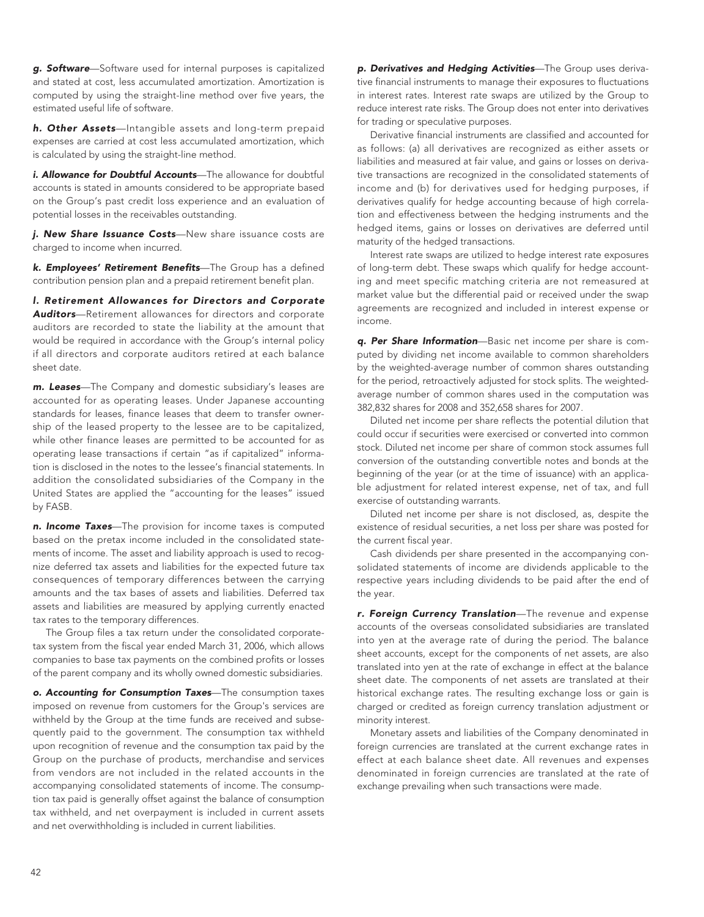*g. Software*—Software used for internal purposes is capitalized and stated at cost, less accumulated amortization. Amortization is computed by using the straight-line method over five years, the estimated useful life of software.

*h. Other Assets*—Intangible assets and long-term prepaid expenses are carried at cost less accumulated amortization, which is calculated by using the straight-line method.

*i. Allowance for Doubtful Accounts*—The allowance for doubtful accounts is stated in amounts considered to be appropriate based on the Group's past credit loss experience and an evaluation of potential losses in the receivables outstanding.

*j. New Share Issuance Costs*—New share issuance costs are charged to income when incurred.

*k. Employees' Retirement Benefits*—The Group has a defined contribution pension plan and a prepaid retirement benefit plan.

*l. Retirement Allowances for Directors and Corporate Auditors*—Retirement allowances for directors and corporate auditors are recorded to state the liability at the amount that would be required in accordance with the Group's internal policy if all directors and corporate auditors retired at each balance sheet date.

*m. Leases*—The Company and domestic subsidiary's leases are accounted for as operating leases. Under Japanese accounting standards for leases, finance leases that deem to transfer ownership of the leased property to the lessee are to be capitalized, while other finance leases are permitted to be accounted for as operating lease transactions if certain "as if capitalized" information is disclosed in the notes to the lessee's financial statements. In addition the consolidated subsidiaries of the Company in the United States are applied the "accounting for the leases" issued by FASB.

*n. Income Taxes*—The provision for income taxes is computed based on the pretax income included in the consolidated statements of income. The asset and liability approach is used to recognize deferred tax assets and liabilities for the expected future tax consequences of temporary differences between the carrying amounts and the tax bases of assets and liabilities. Deferred tax assets and liabilities are measured by applying currently enacted tax rates to the temporary differences.

The Group files a tax return under the consolidated corporatetax system from the fiscal year ended March 31, 2006, which allows companies to base tax payments on the combined profits or losses of the parent company and its wholly owned domestic subsidiaries.

*o. Accounting for Consumption Taxes*—The consumption taxes imposed on revenue from customers for the Group's services are withheld by the Group at the time funds are received and subsequently paid to the government. The consumption tax withheld upon recognition of revenue and the consumption tax paid by the Group on the purchase of products, merchandise and services from vendors are not included in the related accounts in the accompanying consolidated statements of income. The consumption tax paid is generally offset against the balance of consumption tax withheld, and net overpayment is included in current assets and net overwithholding is included in current liabilities.

*p. Derivatives and Hedging Activities*—The Group uses derivative financial instruments to manage their exposures to fluctuations in interest rates. Interest rate swaps are utilized by the Group to reduce interest rate risks. The Group does not enter into derivatives for trading or speculative purposes.

Derivative financial instruments are classified and accounted for as follows: (a) all derivatives are recognized as either assets or liabilities and measured at fair value, and gains or losses on derivative transactions are recognized in the consolidated statements of income and (b) for derivatives used for hedging purposes, if derivatives qualify for hedge accounting because of high correlation and effectiveness between the hedging instruments and the hedged items, gains or losses on derivatives are deferred until maturity of the hedged transactions.

Interest rate swaps are utilized to hedge interest rate exposures of long-term debt. These swaps which qualify for hedge accounting and meet specific matching criteria are not remeasured at market value but the differential paid or received under the swap agreements are recognized and included in interest expense or income.

*q. Per Share Information*—Basic net income per share is computed by dividing net income available to common shareholders by the weighted-average number of common shares outstanding for the period, retroactively adjusted for stock splits. The weightedaverage number of common shares used in the computation was 382,832 shares for 2008 and 352,658 shares for 2007.

Diluted net income per share reflects the potential dilution that could occur if securities were exercised or converted into common stock. Diluted net income per share of common stock assumes full conversion of the outstanding convertible notes and bonds at the beginning of the year (or at the time of issuance) with an applicable adjustment for related interest expense, net of tax, and full exercise of outstanding warrants.

Diluted net income per share is not disclosed, as, despite the existence of residual securities, a net loss per share was posted for the current fiscal year.

Cash dividends per share presented in the accompanying consolidated statements of income are dividends applicable to the respective years including dividends to be paid after the end of the year.

*r. Foreign Currency Translation*—The revenue and expense accounts of the overseas consolidated subsidiaries are translated into yen at the average rate of during the period. The balance sheet accounts, except for the components of net assets, are also translated into yen at the rate of exchange in effect at the balance sheet date. The components of net assets are translated at their historical exchange rates. The resulting exchange loss or gain is charged or credited as foreign currency translation adjustment or minority interest.

Monetary assets and liabilities of the Company denominated in foreign currencies are translated at the current exchange rates in effect at each balance sheet date. All revenues and expenses denominated in foreign currencies are translated at the rate of exchange prevailing when such transactions were made.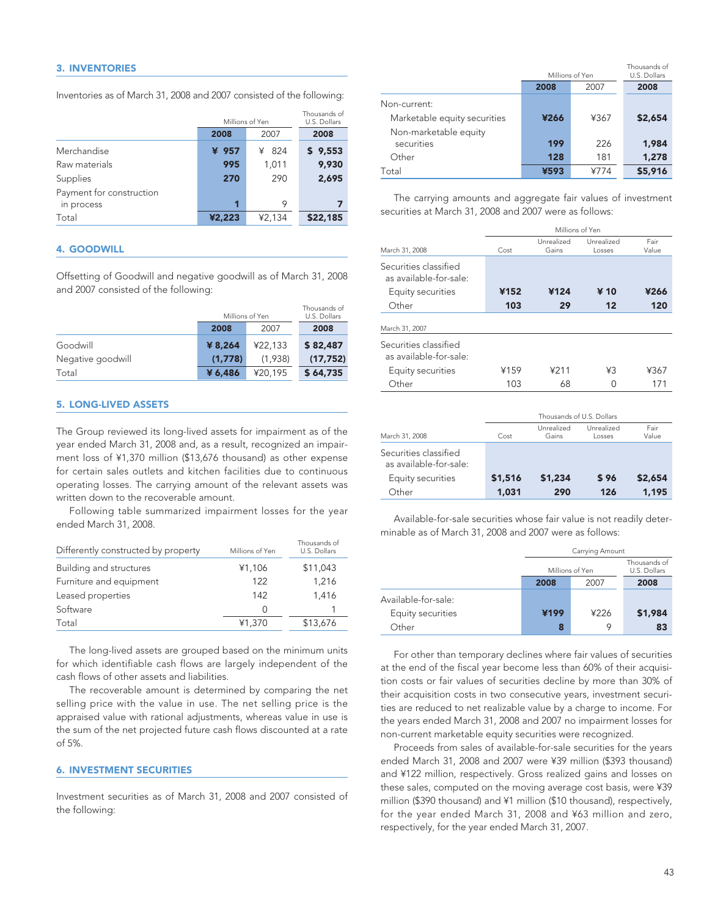Inventories as of March 31, 2008 and 2007 consisted of the following:

|                                        | Millions of Yen | Thousands of<br>U.S. Dollars |          |
|----------------------------------------|-----------------|------------------------------|----------|
|                                        | 2008            | 2007                         | 2008     |
| Merchandise                            | ¥ 957           | -824<br>¥                    | \$9,553  |
| Raw materials                          | 995             | 1,011                        | 9,930    |
| Supplies                               | 270             | 290                          | 2,695    |
| Payment for construction<br>in process | 1               | 9                            |          |
| Total                                  | ¥2,223          | ¥2,134                       | \$22,185 |

### 4. GOODWILL

Offsetting of Goodwill and negative goodwill as of March 31, 2008 and 2007 consisted of the following:

|                   |         | Millions of Yen |           |  |
|-------------------|---------|-----------------|-----------|--|
|                   | 2008    | 2007            | 2008      |  |
| Goodwill          | ¥ 8,264 | ¥22.133         | \$82,487  |  |
| Negative goodwill | (1,778) | (1.938)         | (17, 752) |  |
| Total             | ¥ 6,486 | ¥20.195         | \$64,735  |  |

### 5. LONG-LIVED ASSETS

The Group reviewed its long-lived assets for impairment as of the year ended March 31, 2008 and, as a result, recognized an impairment loss of ¥1,370 million (\$13,676 thousand) as other expense for certain sales outlets and kitchen facilities due to continuous operating losses. The carrying amount of the relevant assets was written down to the recoverable amount.

Following table summarized impairment losses for the year ended March 31, 2008.

| Differently constructed by property | Millions of Yen | Thousands of<br>U.S. Dollars |
|-------------------------------------|-----------------|------------------------------|
| Building and structures             | ¥1,106          | \$11,043                     |
| Furniture and equipment             | 122             | 1,216                        |
| Leased properties                   | 142             | 1,416                        |
| Software                            | 0               |                              |
| Total                               | ¥1,370          | \$13,676                     |

The long-lived assets are grouped based on the minimum units for which identifiable cash flows are largely independent of the cash flows of other assets and liabilities.

The recoverable amount is determined by comparing the net selling price with the value in use. The net selling price is the appraised value with rational adjustments, whereas value in use is the sum of the net projected future cash flows discounted at a rate of 5%.

### 6. INVESTMENT SECURITIES

Investment securities as of March 31, 2008 and 2007 consisted of the following:

|                                     | Millions of Yen |      | Thousands of<br>U.S. Dollars |
|-------------------------------------|-----------------|------|------------------------------|
|                                     | 2008            | 2007 | 2008                         |
| Non-current:                        |                 |      |                              |
| Marketable equity securities        | ¥266            | ¥367 | \$2,654                      |
| Non-marketable equity<br>securities | 199             | 226  | 1,984                        |
| Other                               | 128             | 181  | 1,278                        |
| Total                               | ¥593            | ¥774 | \$5,916                      |

The carrying amounts and aggregate fair values of investment securities at March 31, 2008 and 2007 were as follows:

|                                                 | Millions of Yen |                     |                      |               |
|-------------------------------------------------|-----------------|---------------------|----------------------|---------------|
| March 31, 2008                                  | Cost            | Unrealized<br>Gains | Unrealized<br>Losses | Fair<br>Value |
| Securities classified<br>as available-for-sale: |                 |                     |                      |               |
| Equity securities                               | ¥152            | ¥124                | ¥ 10                 | ¥266          |
| Other                                           | 103             | 29                  | 12                   | 120           |
| March 31, 2007                                  |                 |                     |                      |               |
| Securities classified<br>as available-for-sale: |                 |                     |                      |               |
| Equity securities                               | ¥159            | 4211                | ¥З                   | ¥367          |
| Other                                           | 103             | 68                  | ∩                    | 171           |

|                                                 | Thousands of U.S. Dollars |                     |                      |               |
|-------------------------------------------------|---------------------------|---------------------|----------------------|---------------|
| March 31, 2008                                  | Cost                      | Unrealized<br>Gains | Unrealized<br>Losses | Fair<br>Value |
| Securities classified<br>as available-for-sale: |                           |                     |                      |               |
| Equity securities                               | \$1,516                   | \$1,234             | \$96                 | \$2,654       |
| Other                                           | 1,031                     | 290                 | 126                  | 1,195         |

Available-for-sale securities whose fair value is not readily determinable as of March 31, 2008 and 2007 were as follows:

|                     | Carrying Amount |      |                              |
|---------------------|-----------------|------|------------------------------|
|                     | Millions of Yen |      | Thousands of<br>U.S. Dollars |
|                     | 2008            | 2007 | 2008                         |
| Available-for-sale: |                 |      |                              |
| Equity securities   | ¥199            | ¥226 | \$1,984                      |
| Other               | 8               | O    | 83                           |

For other than temporary declines where fair values of securities at the end of the fiscal year become less than 60% of their acquisition costs or fair values of securities decline by more than 30% of their acquisition costs in two consecutive years, investment securities are reduced to net realizable value by a charge to income. For the years ended March 31, 2008 and 2007 no impairment losses for non-current marketable equity securities were recognized.

Proceeds from sales of available-for-sale securities for the years ended March 31, 2008 and 2007 were ¥39 million (\$393 thousand) and ¥122 million, respectively. Gross realized gains and losses on these sales, computed on the moving average cost basis, were ¥39 million (\$390 thousand) and ¥1 million (\$10 thousand), respectively, for the year ended March 31, 2008 and ¥63 million and zero, respectively, for the year ended March 31, 2007.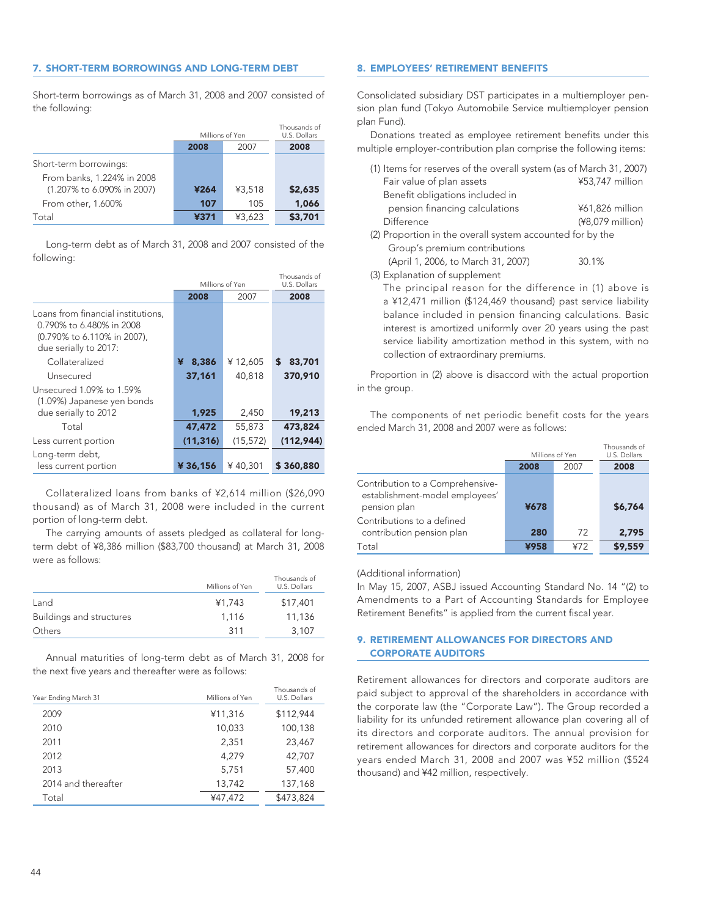### 7. SHORT-TERM BORROWINGS AND LONG-TERM DEBT

Short-term borrowings as of March 31, 2008 and 2007 consisted of the following:

|                            | Millions of Yen |        | Thousands of<br>U.S. Dollars |
|----------------------------|-----------------|--------|------------------------------|
|                            | 2008            | 2007   | 2008                         |
| Short-term borrowings:     |                 |        |                              |
| From banks, 1.224% in 2008 |                 |        |                              |
| (1.207% to 6.090% in 2007) | ¥264            | ¥3.518 | \$2,635                      |
| From other, 1.600%         | 107             | 105    | 1,066                        |
| Total                      | ¥371            | ¥3.623 | \$3,701                      |
|                            |                 |        |                              |

Long-term debt as of March 31, 2008 and 2007 consisted of the following:

|                                                                                                                        | Millions of Yen |           | Thousands of<br>U.S. Dollars |
|------------------------------------------------------------------------------------------------------------------------|-----------------|-----------|------------------------------|
|                                                                                                                        | 2008            | 2007      | 2008                         |
| Loans from financial institutions,<br>0.790% to 6.480% in 2008<br>(0.790% to 6.110% in 2007),<br>due serially to 2017: |                 |           |                              |
| Collateralized                                                                                                         | 8,386<br>¥      | ¥12,605   | S<br>83,701                  |
| Unsecured                                                                                                              | 37,161          | 40.818    | 370,910                      |
| Unsecured 1.09% to 1.59%<br>(1.09%) Japanese yen bonds                                                                 |                 |           |                              |
| due serially to 2012                                                                                                   | 1,925           | 2,450     | 19,213                       |
| Total                                                                                                                  | 47,472          | 55,873    | 473,824                      |
| Less current portion                                                                                                   | (11, 316)       | (15, 572) | (112, 944)                   |
| Long-term debt,<br>less current portion                                                                                | ¥36,156         | ¥40,301   | \$360,880                    |

Collateralized loans from banks of ¥2,614 million (\$26,090 thousand) as of March 31, 2008 were included in the current portion of long-term debt.

The carrying amounts of assets pledged as collateral for longterm debt of ¥8,386 million (\$83,700 thousand) at March 31, 2008 were as follows:

|                          | Millions of Yen | Thousands of<br>U.S. Dollars |
|--------------------------|-----------------|------------------------------|
| Land                     | ¥1.743          | \$17,401                     |
| Buildings and structures | 1.116           | 11,136                       |
| Others                   | 311             | 3,107                        |

Annual maturities of long-term debt as of March 31, 2008 for the next five years and thereafter were as follows:

| Year Ending March 31 | Millions of Yen | Thousands of<br>U.S. Dollars |
|----------------------|-----------------|------------------------------|
| 2009                 | ¥11,316         | \$112,944                    |
| 2010                 | 10,033          | 100,138                      |
| 2011                 | 2,351           | 23,467                       |
| 2012                 | 4.279           | 42,707                       |
| 2013                 | 5,751           | 57,400                       |
| 2014 and thereafter  | 13,742          | 137,168                      |
| Total                | ¥47.472         | \$473,824                    |

### 8. EMPLOYEES' RETIREMENT BENEFITS

Consolidated subsidiary DST participates in a multiemployer pension plan fund (Tokyo Automobile Service multiemployer pension plan Fund).

Donations treated as employee retirement benefits under this multiple employer-contribution plan comprise the following items:

| (1) Items for reserves of the overall system (as of March 31, 2007) |                  |
|---------------------------------------------------------------------|------------------|
| Fair value of plan assets                                           | ¥53,747 million  |
| Benefit obligations included in                                     |                  |
| pension financing calculations                                      | ¥61,826 million  |
| Difference                                                          | (¥8,079 million) |
| (2) Proportion in the overall system accounted for by the           |                  |
| Group's premium contributions                                       |                  |
| (April 1, 2006, to March 31, 2007)                                  | 30.1%            |
|                                                                     |                  |

(3) Explanation of supplement

The principal reason for the difference in (1) above is a ¥12,471 million (\$124,469 thousand) past service liability balance included in pension financing calculations. Basic interest is amortized uniformly over 20 years using the past service liability amortization method in this system, with no collection of extraordinary premiums.

Proportion in (2) above is disaccord with the actual proportion in the group.

The components of net periodic benefit costs for the years ended March 31, 2008 and 2007 were as follows:

|                                                                                    | Millions of Yen |      | Thousands of<br>U.S. Dollars |
|------------------------------------------------------------------------------------|-----------------|------|------------------------------|
|                                                                                    | 2008            | 2007 | 2008                         |
| Contribution to a Comprehensive-<br>establishment-model employees'<br>pension plan | ¥678            |      | \$6,764                      |
| Contributions to a defined<br>contribution pension plan                            | 280             | 72   | 2,795                        |
| Total                                                                              | ¥958            | ¥72  | \$9,559                      |

### (Additional information)

In May 15, 2007, ASBJ issued Accounting Standard No. 14 "(2) to Amendments to a Part of Accounting Standards for Employee Retirement Benefits" is applied from the current fiscal year.

### 9. RETIREMENT ALLOWANCES FOR DIRECTORS AND CORPORATE AUDITORS

Retirement allowances for directors and corporate auditors are paid subject to approval of the shareholders in accordance with the corporate law (the "Corporate Law"). The Group recorded a liability for its unfunded retirement allowance plan covering all of its directors and corporate auditors. The annual provision for retirement allowances for directors and corporate auditors for the years ended March 31, 2008 and 2007 was ¥52 million (\$524 thousand) and ¥42 million, respectively.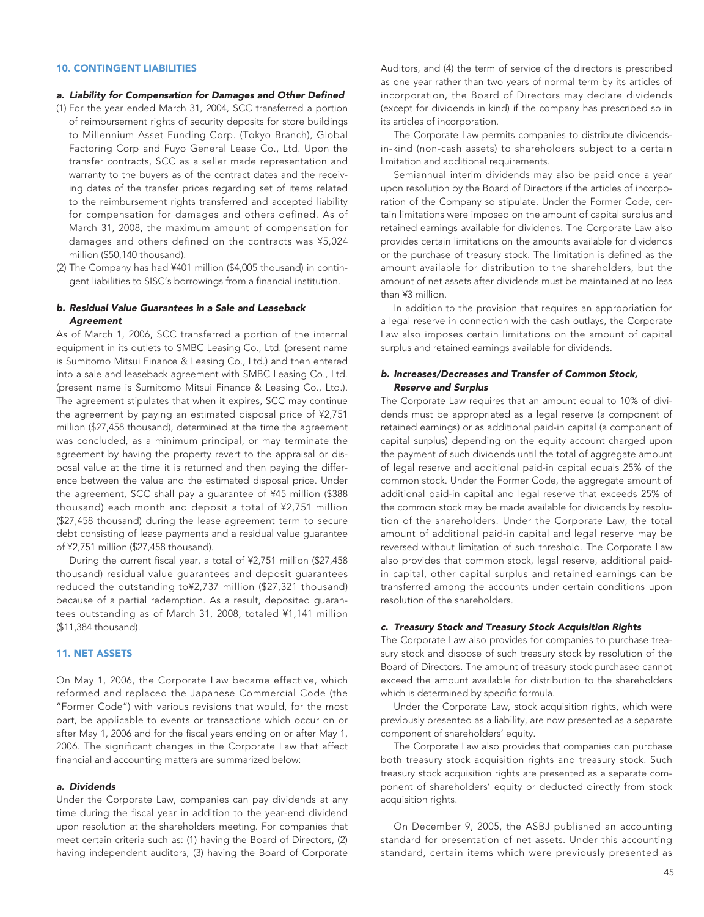### 10. CONTINGENT LIABILITIES

### *a. Liability for Compensation for Damages and Other Defined*

- (1) For the year ended March 31, 2004, SCC transferred a portion of reimbursement rights of security deposits for store buildings to Millennium Asset Funding Corp. (Tokyo Branch), Global Factoring Corp and Fuyo General Lease Co., Ltd. Upon the transfer contracts, SCC as a seller made representation and warranty to the buyers as of the contract dates and the receiving dates of the transfer prices regarding set of items related to the reimbursement rights transferred and accepted liability for compensation for damages and others defined. As of March 31, 2008, the maximum amount of compensation for damages and others defined on the contracts was ¥5,024 million (\$50,140 thousand).
- (2) The Company has had ¥401 million (\$4,005 thousand) in contingent liabilities to SISC's borrowings from a financial institution.

### *b. Residual Value Guarantees in a Sale and Leaseback Agreement*

As of March 1, 2006, SCC transferred a portion of the internal equipment in its outlets to SMBC Leasing Co., Ltd. (present name is Sumitomo Mitsui Finance & Leasing Co., Ltd.) and then entered into a sale and leaseback agreement with SMBC Leasing Co., Ltd. (present name is Sumitomo Mitsui Finance & Leasing Co., Ltd.). The agreement stipulates that when it expires, SCC may continue the agreement by paying an estimated disposal price of ¥2,751 million (\$27,458 thousand), determined at the time the agreement was concluded, as a minimum principal, or may terminate the agreement by having the property revert to the appraisal or disposal value at the time it is returned and then paying the difference between the value and the estimated disposal price. Under the agreement, SCC shall pay a guarantee of ¥45 million (\$388 thousand) each month and deposit a total of ¥2,751 million (\$27,458 thousand) during the lease agreement term to secure debt consisting of lease payments and a residual value guarantee of ¥2,751 million (\$27,458 thousand).

During the current fiscal year, a total of ¥2,751 million (\$27,458 thousand) residual value guarantees and deposit guarantees reduced the outstanding to¥2,737 million (\$27,321 thousand) because of a partial redemption. As a result, deposited guarantees outstanding as of March 31, 2008, totaled ¥1,141 million (\$11,384 thousand).

### 11. NET ASSETS

On May 1, 2006, the Corporate Law became effective, which reformed and replaced the Japanese Commercial Code (the "Former Code") with various revisions that would, for the most part, be applicable to events or transactions which occur on or after May 1, 2006 and for the fiscal years ending on or after May 1, 2006. The significant changes in the Corporate Law that affect financial and accounting matters are summarized below:

### *a. Dividends*

Under the Corporate Law, companies can pay dividends at any time during the fiscal year in addition to the year-end dividend upon resolution at the shareholders meeting. For companies that meet certain criteria such as: (1) having the Board of Directors, (2) having independent auditors, (3) having the Board of Corporate

Auditors, and (4) the term of service of the directors is prescribed as one year rather than two years of normal term by its articles of incorporation, the Board of Directors may declare dividends (except for dividends in kind) if the company has prescribed so in its articles of incorporation.

The Corporate Law permits companies to distribute dividendsin-kind (non-cash assets) to shareholders subject to a certain limitation and additional requirements.

Semiannual interim dividends may also be paid once a year upon resolution by the Board of Directors if the articles of incorporation of the Company so stipulate. Under the Former Code, certain limitations were imposed on the amount of capital surplus and retained earnings available for dividends. The Corporate Law also provides certain limitations on the amounts available for dividends or the purchase of treasury stock. The limitation is defined as the amount available for distribution to the shareholders, but the amount of net assets after dividends must be maintained at no less than ¥3 million.

In addition to the provision that requires an appropriation for a legal reserve in connection with the cash outlays, the Corporate Law also imposes certain limitations on the amount of capital surplus and retained earnings available for dividends.

### *b. Increases/Decreases and Transfer of Common Stock, Reserve and Surplus*

The Corporate Law requires that an amount equal to 10% of dividends must be appropriated as a legal reserve (a component of retained earnings) or as additional paid-in capital (a component of capital surplus) depending on the equity account charged upon the payment of such dividends until the total of aggregate amount of legal reserve and additional paid-in capital equals 25% of the common stock. Under the Former Code, the aggregate amount of additional paid-in capital and legal reserve that exceeds 25% of the common stock may be made available for dividends by resolution of the shareholders. Under the Corporate Law, the total amount of additional paid-in capital and legal reserve may be reversed without limitation of such threshold. The Corporate Law also provides that common stock, legal reserve, additional paidin capital, other capital surplus and retained earnings can be transferred among the accounts under certain conditions upon resolution of the shareholders.

### *c. Treasury Stock and Treasury Stock Acquisition Rights*

The Corporate Law also provides for companies to purchase treasury stock and dispose of such treasury stock by resolution of the Board of Directors. The amount of treasury stock purchased cannot exceed the amount available for distribution to the shareholders which is determined by specific formula.

Under the Corporate Law, stock acquisition rights, which were previously presented as a liability, are now presented as a separate component of shareholders' equity.

The Corporate Law also provides that companies can purchase both treasury stock acquisition rights and treasury stock. Such treasury stock acquisition rights are presented as a separate component of shareholders' equity or deducted directly from stock acquisition rights.

On December 9, 2005, the ASBJ published an accounting standard for presentation of net assets. Under this accounting standard, certain items which were previously presented as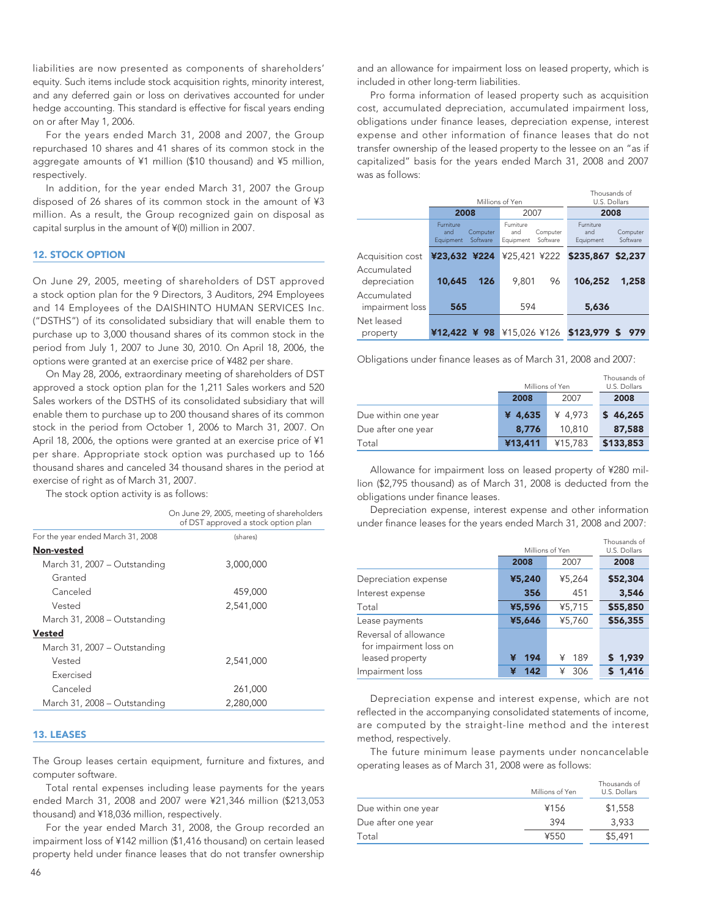liabilities are now presented as components of shareholders' equity. Such items include stock acquisition rights, minority interest, and any deferred gain or loss on derivatives accounted for under hedge accounting. This standard is effective for fiscal years ending on or after May 1, 2006.

For the years ended March 31, 2008 and 2007, the Group repurchased 10 shares and 41 shares of its common stock in the aggregate amounts of ¥1 million (\$10 thousand) and ¥5 million, respectively.

In addition, for the year ended March 31, 2007 the Group disposed of 26 shares of its common stock in the amount of ¥3 million. As a result, the Group recognized gain on disposal as capital surplus in the amount of ¥(0) million in 2007.

### 12. STOCK OPTION

On June 29, 2005, meeting of shareholders of DST approved a stock option plan for the 9 Directors, 3 Auditors, 294 Employees and 14 Employees of the DAISHINTO HUMAN SERVICES Inc. ("DSTHS") of its consolidated subsidiary that will enable them to purchase up to 3,000 thousand shares of its common stock in the period from July 1, 2007 to June 30, 2010. On April 18, 2006, the options were granted at an exercise price of ¥482 per share.

On May 28, 2006, extraordinary meeting of shareholders of DST approved a stock option plan for the 1,211 Sales workers and 520 Sales workers of the DSTHS of its consolidated subsidiary that will enable them to purchase up to 200 thousand shares of its common stock in the period from October 1, 2006 to March 31, 2007. On April 18, 2006, the options were granted at an exercise price of ¥1 per share. Appropriate stock option was purchased up to 166 thousand shares and canceled 34 thousand shares in the period at exercise of right as of March 31, 2007.

The stock option activity is as follows:

|                                   | On June 29, 2005, meeting of shareholders<br>of DST approved a stock option plan |
|-----------------------------------|----------------------------------------------------------------------------------|
| For the year ended March 31, 2008 | (shares)                                                                         |
| Non-vested                        |                                                                                  |
| March 31, 2007 – Outstanding      | 3,000,000                                                                        |
| Granted                           |                                                                                  |
| Canceled                          | 459,000                                                                          |
| Vested                            | 2.541.000                                                                        |
| March 31, 2008 - Outstanding      |                                                                                  |
| <b>Vested</b>                     |                                                                                  |
| March 31, 2007 - Outstanding      |                                                                                  |
| Vested                            | 2.541.000                                                                        |
| Exercised                         |                                                                                  |
| Canceled                          | 261,000                                                                          |
| March 31, 2008 - Outstanding      | 2,280,000                                                                        |
|                                   |                                                                                  |

### 13. LEASES

The Group leases certain equipment, furniture and fixtures, and computer software.

Total rental expenses including lease payments for the years ended March 31, 2008 and 2007 were ¥21,346 million (\$213,053 thousand) and ¥18,036 million, respectively.

For the year ended March 31, 2008, the Group recorded an impairment loss of ¥142 million (\$1,416 thousand) on certain leased property held under finance leases that do not transfer ownership and an allowance for impairment loss on leased property, which is included in other long-term liabilities.

Pro forma information of leased property such as acquisition cost, accumulated depreciation, accumulated impairment loss, obligations under finance leases, depreciation expense, interest expense and other information of finance leases that do not transfer ownership of the leased property to the lessee on an "as if capitalized" basis for the years ended March 31, 2008 and 2007 was as follows:

|                                |                                                              | Millions of Yen                                              | Thousands of<br>U.S. Dollars                                 |
|--------------------------------|--------------------------------------------------------------|--------------------------------------------------------------|--------------------------------------------------------------|
|                                | 2008                                                         | 2007                                                         | 2008                                                         |
|                                | <b>Furniture</b><br>Computer<br>and<br>Software<br>Equipment | <b>Furniture</b><br>Computer<br>and<br>Software<br>Equipment | <b>Furniture</b><br>Computer<br>and<br>Software<br>Equipment |
| Acquisition cost               | ¥23,632 ¥224                                                 |                                                              | ¥25,421 ¥222 <b>\$235,867 \$2,237</b>                        |
| Accumulated<br>depreciation    | 10,645<br>126                                                | 9.801<br>96                                                  | 106,252<br>1,258                                             |
| Accumulated<br>impairment loss | 565                                                          | 594                                                          | 5,636                                                        |
| Net leased<br>property         | ¥12,422 ¥ 98                                                 |                                                              | ¥15,026 ¥126 <b>\$123,979 \$ 979</b>                         |

Obligations under finance leases as of March 31, 2008 and 2007:

|                     | Millions of Yen |         | Thousands of<br>U.S. Dollars |
|---------------------|-----------------|---------|------------------------------|
|                     | 2008            | 2007    | 2008                         |
| Due within one year | ¥ 4,635         | ¥ 4,973 | \$46,265                     |
| Due after one year  | 8.776           | 10,810  | 87,588                       |
| Total               | ¥13,411         | ¥15,783 | \$133,853                    |

Allowance for impairment loss on leased property of ¥280 million (\$2,795 thousand) as of March 31, 2008 is deducted from the obligations under finance leases.

Depreciation expense, interest expense and other information under finance leases for the years ended March 31, 2008 and 2007:

|                                                                    | Millions of Yen |          | Thousands of<br>U.S. Dollars |
|--------------------------------------------------------------------|-----------------|----------|------------------------------|
|                                                                    | 2008            | 2007     | 2008                         |
| Depreciation expense                                               | ¥5,240          | ¥5,264   | \$52,304                     |
| Interest expense                                                   | 356             | 451      | 3,546                        |
| Total                                                              | ¥5,596          | ¥5,715   | \$55,850                     |
| Lease payments                                                     | ¥5,646          | ¥5,760   | \$56,355                     |
| Reversal of allowance<br>for impairment loss on<br>leased property | 194<br>¥        | 189<br>¥ | \$1,939                      |
| Impairment loss                                                    | 142<br>¥        | 306<br>¥ | 1,416                        |

Depreciation expense and interest expense, which are not reflected in the accompanying consolidated statements of income, are computed by the straight-line method and the interest method, respectively.

The future minimum lease payments under noncancelable operating leases as of March 31, 2008 were as follows:

|                     | Millions of Yen | Thousands of<br>U.S. Dollars |
|---------------------|-----------------|------------------------------|
| Due within one year | ¥156            | \$1,558                      |
| Due after one year  | 394             | 3.933                        |
| Total               | ¥550            | \$5,491                      |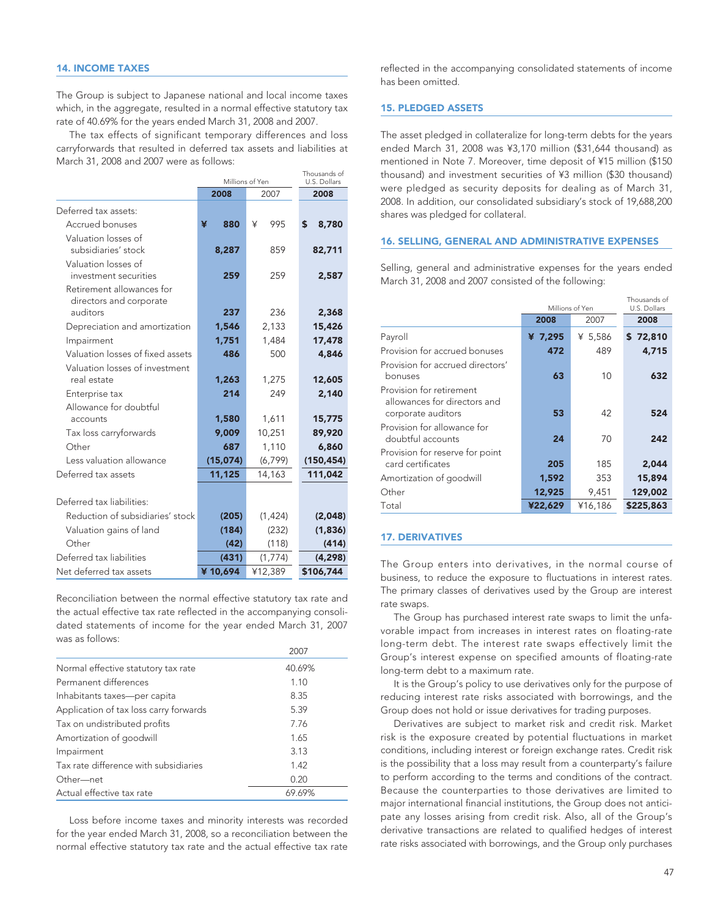The Group is subject to Japanese national and local income taxes which, in the aggregate, resulted in a normal effective statutory tax rate of 40.69% for the years ended March 31, 2008 and 2007.

The tax effects of significant temporary differences and loss carryforwards that resulted in deferred tax assets and liabilities at March 31, 2008 and 2007 were as follows:

|                                  |          | Millions of Yen | U.S. Dollars |  |  |
|----------------------------------|----------|-----------------|--------------|--|--|
|                                  | 2008     | 2007            | 2008         |  |  |
| Deferred tax assets:             |          |                 |              |  |  |
| Accrued bonuses                  | ¥<br>880 | 995<br>¥        | \$<br>8,780  |  |  |
| Valuation losses of              |          |                 |              |  |  |
| subsidiaries' stock              | 8,287    | 859             | 82,711       |  |  |
| Valuation losses of              |          |                 |              |  |  |
| investment securities            | 259      | 259             | 2,587        |  |  |
| Retirement allowances for        |          |                 |              |  |  |
| directors and corporate          |          |                 |              |  |  |
| auditors                         | 237      | 236             | 2,368        |  |  |
| Depreciation and amortization    | 1,546    | 2,133           | 15,426       |  |  |
| Impairment                       | 1,751    | 1,484           | 17,478       |  |  |
| Valuation losses of fixed assets | 486      | 500             | 4,846        |  |  |
| Valuation losses of investment   |          |                 |              |  |  |
| real estate                      | 1,263    | 1,275           | 12,605       |  |  |
| Enterprise tax                   | 214      | 249             | 2,140        |  |  |
| Allowance for doubtful           |          |                 |              |  |  |
| accounts                         | 1,580    | 1,611           | 15,775       |  |  |
| Tax loss carryforwards           | 9,009    | 10,251          | 89,920       |  |  |
| Other                            | 687      | 1,110           | 6,860        |  |  |
| Less valuation allowance         | (15,074) | (6, 799)        | (150, 454)   |  |  |
| Deferred tax assets              | 11,125   | 14,163          | 111,042      |  |  |
|                                  |          |                 |              |  |  |
| Deferred tax liabilities:        |          |                 |              |  |  |
| Reduction of subsidiaries' stock | (205)    | (1, 424)        | (2,048)      |  |  |
| Valuation gains of land          | (184)    | (232)           | (1,836)      |  |  |
| Other                            | (42)     | (118)           | (414)        |  |  |
| Deferred tax liabilities         | (431)    | (1,774)         | (4, 298)     |  |  |
| Net deferred tax assets          | ¥10.694  | ¥12,389         | \$106,744    |  |  |

Reconciliation between the normal effective statutory tax rate and the actual effective tax rate reflected in the accompanying consolidated statements of income for the year ended March 31, 2007 was as follows:

|                                        | 2007   |
|----------------------------------------|--------|
| Normal effective statutory tax rate    | 40.69% |
| Permanent differences                  | 1.10   |
| Inhabitants taxes-per capita           | 8.35   |
| Application of tax loss carry forwards | 5.39   |
| Tax on undistributed profits           | 7.76   |
| Amortization of goodwill               | 1.65   |
| Impairment                             | 3.13   |
| Tax rate difference with subsidiaries  | 1.42   |
| Other-net                              | 0.20   |
| Actual effective tax rate              | 69.69% |

Loss before income taxes and minority interests was recorded for the year ended March 31, 2008, so a reconciliation between the normal effective statutory tax rate and the actual effective tax rate

reflected in the accompanying consolidated statements of income has been omitted.

### 15. PLEDGED ASSETS

Thousands of

The asset pledged in collateralize for long-term debts for the years ended March 31, 2008 was ¥3,170 million (\$31,644 thousand) as mentioned in Note 7. Moreover, time deposit of ¥15 million (\$150 thousand) and investment securities of ¥3 million (\$30 thousand) were pledged as security deposits for dealing as of March 31, 2008. In addition, our consolidated subsidiary's stock of 19,688,200 shares was pledged for collateral.

### 16. SELLING, GENERAL AND ADMINISTRATIVE EXPENSES

Selling, general and administrative expenses for the years ended March 31, 2008 and 2007 consisted of the following:

|                                                                                |         | Millions of Yen | Thousands of<br>U.S. Dollars |
|--------------------------------------------------------------------------------|---------|-----------------|------------------------------|
|                                                                                | 2008    | 2007            | 2008                         |
| Payroll                                                                        | ¥ 7,295 | ¥ 5,586         | \$72,810                     |
| Provision for accrued bonuses                                                  | 472     | 489             | 4,715                        |
| Provision for accrued directors'<br>bonuses                                    | 63      | 10              | 632                          |
| Provision for retirement<br>allowances for directors and<br>corporate auditors | 53      | 42              | 524                          |
| Provision for allowance for<br>doubtful accounts                               | 24      | 70              | 242                          |
| Provision for reserve for point<br>card certificates                           | 205     | 185             | 2,044                        |
| Amortization of goodwill                                                       | 1,592   | 353             | 15,894                       |
| Other                                                                          | 12,925  | 9,451           | 129,002                      |
| Total                                                                          | ¥22,629 | ¥16,186         | \$225,863                    |

### 17. DERIVATIVES

The Group enters into derivatives, in the normal course of business, to reduce the exposure to fluctuations in interest rates. The primary classes of derivatives used by the Group are interest rate swaps.

The Group has purchased interest rate swaps to limit the unfavorable impact from increases in interest rates on floating-rate long-term debt. The interest rate swaps effectively limit the Group's interest expense on specified amounts of floating-rate long-term debt to a maximum rate.

It is the Group's policy to use derivatives only for the purpose of reducing interest rate risks associated with borrowings, and the Group does not hold or issue derivatives for trading purposes.

Derivatives are subject to market risk and credit risk. Market risk is the exposure created by potential fluctuations in market conditions, including interest or foreign exchange rates. Credit risk is the possibility that a loss may result from a counterparty's failure to perform according to the terms and conditions of the contract. Because the counterparties to those derivatives are limited to major international financial institutions, the Group does not anticipate any losses arising from credit risk. Also, all of the Group's derivative transactions are related to qualified hedges of interest rate risks associated with borrowings, and the Group only purchases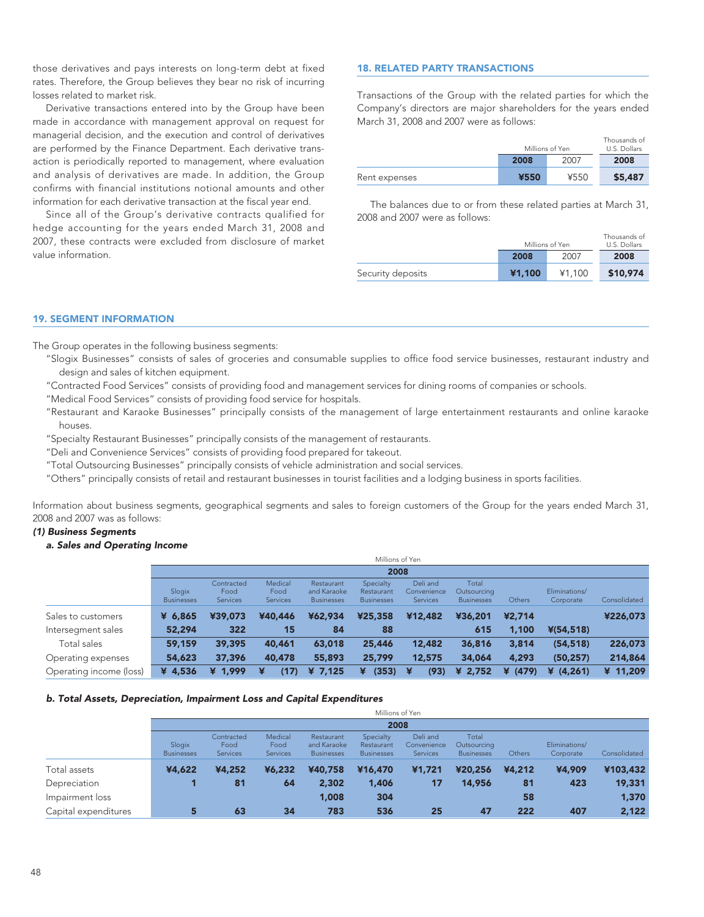those derivatives and pays interests on long-term debt at fixed rates. Therefore, the Group believes they bear no risk of incurring losses related to market risk.

Derivative transactions entered into by the Group have been made in accordance with management approval on request for managerial decision, and the execution and control of derivatives are performed by the Finance Department. Each derivative transaction is periodically reported to management, where evaluation and analysis of derivatives are made. In addition, the Group confirms with financial institutions notional amounts and other information for each derivative transaction at the fiscal year end.

Since all of the Group's derivative contracts qualified for hedge accounting for the years ended March 31, 2008 and 2007, these contracts were excluded from disclosure of market value information.

### 18. RELATED PARTY TRANSACTIONS

Transactions of the Group with the related parties for which the Company's directors are major shareholders for the years ended March 31, 2008 and 2007 were as follows:

|               | Millions of Yen |      | Thousands of<br>U.S. Dollars |
|---------------|-----------------|------|------------------------------|
|               | 2008            | 2007 | 2008                         |
| Rent expenses | ¥550            | ¥550 | \$5,487                      |

The balances due to or from these related parties at March 31, 2008 and 2007 were as follows:

|                   |        | Millions of Yen | Thousands of<br>U.S. Dollars |
|-------------------|--------|-----------------|------------------------------|
|                   | 2008   | 2007            | 2008                         |
| Security deposits | ¥1,100 | ¥1.100          | \$10,974                     |

### 19. SEGMENT INFORMATION

The Group operates in the following business segments:

- "Slogix Businesses" consists of sales of groceries and consumable supplies to office food service businesses, restaurant industry and design and sales of kitchen equipment.
- "Contracted Food Services" consists of providing food and management services for dining rooms of companies or schools.
- "Medical Food Services" consists of providing food service for hospitals.
- "Restaurant and Karaoke Businesses" principally consists of the management of large entertainment restaurants and online karaoke houses.
- "Specialty Restaurant Businesses" principally consists of the management of restaurants.
- "Deli and Convenience Services" consists of providing food prepared for takeout.
- "Total Outsourcing Businesses" principally consists of vehicle administration and social services.

"Others" principally consists of retail and restaurant businesses in tourist facilities and a lodging business in sports facilities.

Information about business segments, geographical segments and sales to foreign customers of the Group for the years ended March 31, 2008 and 2007 was as follows:

### *(1) Business Segments*

### *a. Sales and Operating Income*

|                         | Millions of Yen             |                                |                                    |                                                |                                              |                                            |                                           |               |                            |              |
|-------------------------|-----------------------------|--------------------------------|------------------------------------|------------------------------------------------|----------------------------------------------|--------------------------------------------|-------------------------------------------|---------------|----------------------------|--------------|
|                         |                             |                                |                                    |                                                | 2008                                         |                                            |                                           |               |                            |              |
|                         | Slogix<br><b>Businesses</b> | Contracted<br>Food<br>Services | Medical<br>Food<br><b>Services</b> | Restaurant<br>and Karaoke<br><b>Businesses</b> | Specialty<br>Restaurant<br><b>Businesses</b> | Deli and<br>Convenience<br><b>Services</b> | Total<br>Outsourcing<br><b>Businesses</b> | <b>Others</b> | Eliminations/<br>Corporate | Consolidated |
| Sales to customers      | ¥ 6,865                     | ¥39,073                        | ¥40,446                            | ¥62,934                                        | ¥25,358                                      | ¥12,482                                    | ¥36,201                                   | ¥2,714        |                            | ¥226,073     |
| Intersegment sales      | 52,294                      | 322                            | 15                                 | 84                                             | 88                                           |                                            | 615                                       | 1,100         | $*(54, 518)$               |              |
| Total sales             | 59,159                      | 39,395                         | 40,461                             | 63,018                                         | 25,446                                       | 12,482                                     | 36,816                                    | 3,814         | (54, 518)                  | 226,073      |
| Operating expenses      | 54,623                      | 37,396                         | 40,478                             | 55,893                                         | 25,799                                       | 12,575                                     | 34,064                                    | 4,293         | (50, 257)                  | 214,864      |
| Operating income (loss) | ¥ 4,536                     | ¥ 1,999                        | (17)<br>¥                          | 7,125<br>¥                                     | (353)<br>¥                                   | ¥<br>(93)                                  | ¥ $2,752$                                 | ¥ (479)       | ¥ $(4, 261)$               | ¥ 11,209     |

### *b. Total Assets, Depreciation, Impairment Loss and Capital Expenditures*

|                      |                             | Millions of Yen                       |                             |                                                |                                              |                                            |                                           |        |                            |              |  |
|----------------------|-----------------------------|---------------------------------------|-----------------------------|------------------------------------------------|----------------------------------------------|--------------------------------------------|-------------------------------------------|--------|----------------------------|--------------|--|
|                      |                             | 2008                                  |                             |                                                |                                              |                                            |                                           |        |                            |              |  |
|                      | Slogix<br><b>Businesses</b> | Contracted<br>Food<br><b>Services</b> | Medical<br>Food<br>Services | Restaurant<br>and Karaoke<br><b>Businesses</b> | Specialty<br>Restaurant<br><b>Businesses</b> | Deli and<br>Convenience<br><b>Services</b> | Total<br>Outsourcing<br><b>Businesses</b> | Others | Eliminations/<br>Corporate | Consolidated |  |
| Total assets         | ¥4,622                      | ¥4,252                                | ¥6,232                      | ¥40,758                                        | ¥16,470                                      | ¥1,721                                     | ¥20,256                                   | ¥4,212 | ¥4,909                     | ¥103,432     |  |
| Depreciation         |                             | 81                                    | 64                          | 2,302                                          | 1,406                                        | 17                                         | 14,956                                    | 81     | 423                        | 19,331       |  |
| Impairment loss      |                             |                                       |                             | 1,008                                          | 304                                          |                                            |                                           | 58     |                            | 1,370        |  |
| Capital expenditures | 5                           | 63                                    | 34                          | 783                                            | 536                                          | 25                                         | 47                                        | 222    | 407                        | 2,122        |  |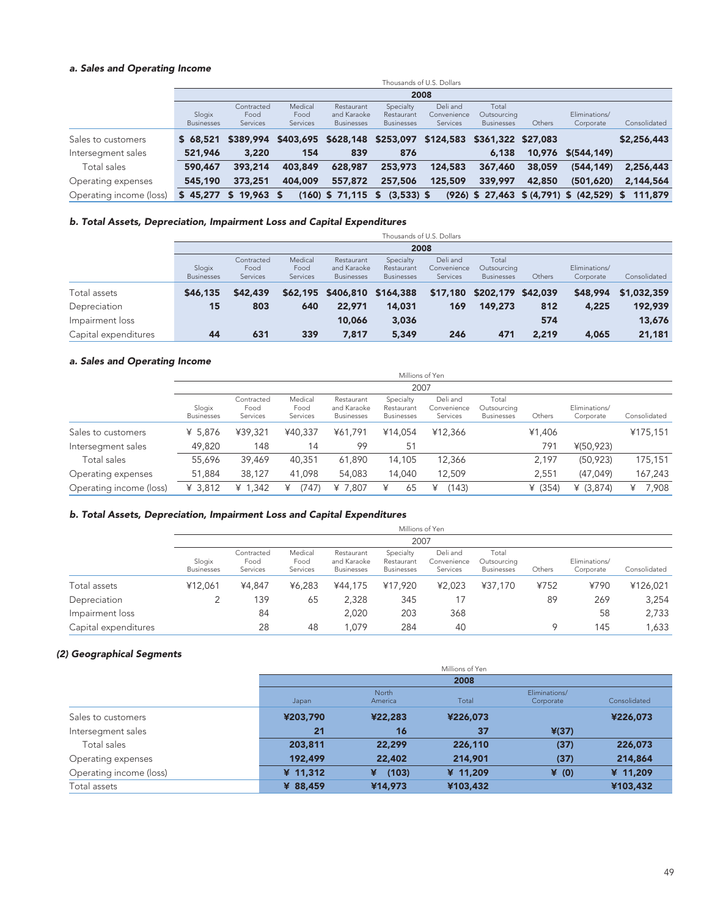### *a. Sales and Operating Income*

|                         |                             | Thousands of U.S. Dollars      |                                    |                                                |                                              |                                                            |                                           |        |                                             |              |
|-------------------------|-----------------------------|--------------------------------|------------------------------------|------------------------------------------------|----------------------------------------------|------------------------------------------------------------|-------------------------------------------|--------|---------------------------------------------|--------------|
|                         |                             |                                |                                    |                                                |                                              | 2008                                                       |                                           |        |                                             |              |
|                         | Slogix<br><b>Businesses</b> | Contracted<br>Food<br>Services | Medical<br>Food<br><b>Services</b> | Restaurant<br>and Karaoke<br><b>Businesses</b> | Specialty<br>Restaurant<br><b>Businesses</b> | Deli and<br>Convenience<br><b>Services</b>                 | Total<br>Outsourcing<br><b>Businesses</b> | Others | Eliminations/<br>Corporate                  | Consolidated |
| Sales to customers      | \$68,521                    | \$389,994                      |                                    |                                                |                                              | \$403.695 \$628.148 \$253.097 \$124.583 \$361.322 \$27.083 |                                           |        |                                             | \$2,256,443  |
| Intersegment sales      | 521,946                     | 3,220                          | 154                                | 839                                            | 876                                          |                                                            | 6,138                                     |        | 10,976 \$(544,149)                          |              |
| Total sales             | 590,467                     | 393,214                        | 403,849                            | 628,987                                        | 253,973                                      | 124,583                                                    | 367,460                                   | 38,059 | (544, 149)                                  | 2,256,443    |
| Operating expenses      | 545,190                     | 373,251                        | 404,009                            | 557,872                                        | 257,506                                      | 125,509                                                    | 339,997                                   | 42,850 | (501, 620)                                  | 2,144,564    |
| Operating income (loss) | \$45.277                    | \$19.963\$                     |                                    | $(160)$ \$ 71,115 \$                           | $(3,533)$ \$                                 |                                                            |                                           |        | $(926)$ \$ 27,463 \$ (4,791) \$ (42,529) \$ | 111,879      |

### *b. Total Assets, Depreciation, Impairment Loss and Capital Expenditures*

|                      |                             | Thousands of U.S. Dollars      |                             |                                                |                                              |                                            |                                           |        |                            |              |  |
|----------------------|-----------------------------|--------------------------------|-----------------------------|------------------------------------------------|----------------------------------------------|--------------------------------------------|-------------------------------------------|--------|----------------------------|--------------|--|
|                      |                             | 2008                           |                             |                                                |                                              |                                            |                                           |        |                            |              |  |
|                      | Slogix<br><b>Businesses</b> | Contracted<br>Food<br>Services | Medical<br>Food<br>Services | Restaurant<br>and Karaoke<br><b>Businesses</b> | Specialty<br>Restaurant<br><b>Businesses</b> | Deli and<br>Convenience<br><b>Services</b> | Total<br>Outsourcing<br><b>Businesses</b> | Others | Eliminations/<br>Corporate | Consolidated |  |
| Total assets         | \$46,135                    | \$42,439                       |                             | \$62,195 \$406,810 \$164,388                   |                                              |                                            | \$17,180 \$202,179 \$42,039               |        | \$48,994                   | \$1,032,359  |  |
| Depreciation         | 15                          | 803                            | 640                         | 22,971                                         | 14,031                                       | 169                                        | 149,273                                   | 812    | 4,225                      | 192,939      |  |
| Impairment loss      |                             |                                |                             | 10,066                                         | 3,036                                        |                                            |                                           | 574    |                            | 13,676       |  |
| Capital expenditures | 44                          | 631                            | 339                         | 7.817                                          | 5,349                                        | 246                                        | 471                                       | 2,219  | 4,065                      | 21,181       |  |

### *a. Sales and Operating Income*

|                         | Millions of Yen<br>2007     |                                |                             |                                                |                                              |                                     |                                           |           |                            |              |
|-------------------------|-----------------------------|--------------------------------|-----------------------------|------------------------------------------------|----------------------------------------------|-------------------------------------|-------------------------------------------|-----------|----------------------------|--------------|
|                         |                             |                                |                             |                                                |                                              |                                     |                                           |           |                            |              |
|                         | Slogix<br><b>Businesses</b> | Contracted<br>Food<br>Services | Medical<br>Food<br>Services | Restaurant<br>and Karaoke<br><b>Businesses</b> | Specialty<br>Restaurant<br><b>Businesses</b> | Deli and<br>Convenience<br>Services | Total<br>Outsourcing<br><b>Businesses</b> | Others    | Eliminations/<br>Corporate | Consolidated |
| Sales to customers      | ¥ 5,876                     | ¥39.321                        | ¥40.337                     | ¥61.791                                        | ¥14.054                                      | ¥12,366                             |                                           | ¥1,406    |                            | ¥175,151     |
| Intersegment sales      | 49,820                      | 148                            | 14                          | 99                                             | 51                                           |                                     |                                           | 791       | ¥(50,923)                  |              |
| Total sales             | 55,696                      | 39,469                         | 40,351                      | 61,890                                         | 14.105                                       | 12,366                              |                                           | 2.197     | (50, 923)                  | 175,151      |
| Operating expenses      | 51,884                      | 38,127                         | 41,098                      | 54,083                                         | 14,040                                       | 12,509                              |                                           | 2,551     | (47, 049)                  | 167,243      |
| Operating income (loss) | ¥ $3,812$                   | ¥ $1,342$                      | (747)<br>¥                  | ¥ 7,807                                        | 65                                           | (143)<br>¥                          |                                           | ¥ $(354)$ | ¥ $(3,874)$                | ¥ 7,908      |

### *b. Total Assets, Depreciation, Impairment Loss and Capital Expenditures*

|                      |                             | Millions of Yen                |                             |                                                |                                              |                                     |                                           |        |                            |              |
|----------------------|-----------------------------|--------------------------------|-----------------------------|------------------------------------------------|----------------------------------------------|-------------------------------------|-------------------------------------------|--------|----------------------------|--------------|
|                      |                             | 2007                           |                             |                                                |                                              |                                     |                                           |        |                            |              |
|                      | Slogix<br><b>Businesses</b> | Contracted<br>Food<br>Services | Medical<br>Food<br>Services | Restaurant<br>and Karaoke<br><b>Businesses</b> | Specialty<br>Restaurant<br><b>Businesses</b> | Deli and<br>Convenience<br>Services | Total<br>Outsourcing<br><b>Businesses</b> | Others | Eliminations/<br>Corporate | Consolidated |
| Total assets         | ¥12.061                     | ¥4.847                         | ¥6.283                      | ¥44,175                                        | ¥17.920                                      | ¥2,023                              | ¥37.170                                   | ¥752   | ¥790                       | ¥126,021     |
| Depreciation         |                             | 139                            | 65                          | 2,328                                          | 345                                          | 17                                  |                                           | 89     | 269                        | 3,254        |
| Impairment loss      |                             | 84                             |                             | 2.020                                          | 203                                          | 368                                 |                                           |        | 58                         | 2,733        |
| Capital expenditures |                             | 28                             | 48                          | .079                                           | 284                                          | 40                                  |                                           | 9      | 145                        | 1,633        |

### *(2) Geographical Segments*

|                         |          | Millions of Yen  |          |                            |              |  |  |
|-------------------------|----------|------------------|----------|----------------------------|--------------|--|--|
|                         | 2008     |                  |          |                            |              |  |  |
|                         | Japan    | North<br>America | Total    | Eliminations/<br>Corporate | Consolidated |  |  |
| Sales to customers      | ¥203,790 | ¥22,283          | ¥226,073 |                            | ¥226,073     |  |  |
| Intersegment sales      | 21       | 16               | 37       | $*(37)$                    |              |  |  |
| Total sales             | 203,811  | 22,299           | 226,110  | (37)                       | 226,073      |  |  |
| Operating expenses      | 192,499  | 22,402           | 214,901  | (37)                       | 214,864      |  |  |
| Operating income (loss) | ¥ 11,312 | (103)<br>¥       | ¥ 11,209 | $\angle$ (0)               | ¥ 11,209     |  |  |
| Total assets            | ¥ 88,459 | ¥14,973          | ¥103,432 |                            | ¥103,432     |  |  |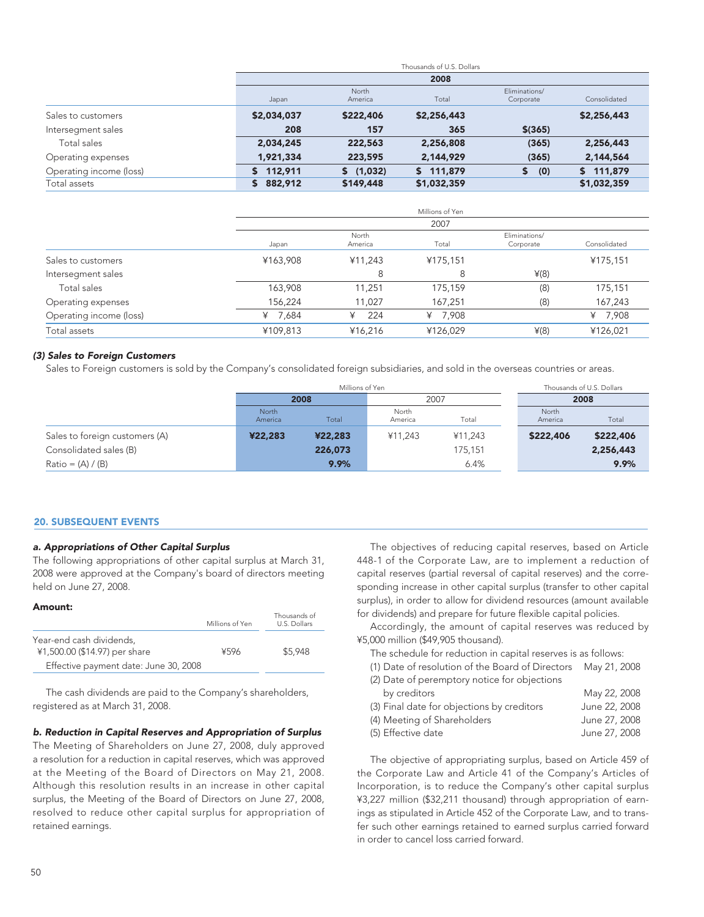|                         |               |                  | Thousands of U.S. Dollars |                            |              |
|-------------------------|---------------|------------------|---------------------------|----------------------------|--------------|
|                         |               |                  | 2008                      |                            |              |
|                         | Japan         | North<br>America | Total                     | Eliminations/<br>Corporate | Consolidated |
| Sales to customers      | \$2,034,037   | \$222,406        | \$2,256,443               |                            | \$2,256,443  |
| Intersegment sales      | 208           | 157              | 365                       | $$$ (365)                  |              |
| Total sales             | 2,034,245     | 222,563          | 2,256,808                 | (365)                      | 2,256,443    |
| Operating expenses      | 1,921,334     | 223,595          | 2,144,929                 | (365)                      | 2,144,564    |
| Operating income (loss) | 112,911<br>S. | \$(1,032)        | 111,879<br>S.             | (0)<br>\$                  | \$111.879    |
| Total assets            | 882,912<br>\$ | \$149,448        | \$1,032,359               |                            | \$1,032,359  |

|                         |            |                  | Millions of Yen |                            |              |  |  |
|-------------------------|------------|------------------|-----------------|----------------------------|--------------|--|--|
|                         |            | 2007             |                 |                            |              |  |  |
|                         | Japan      | North<br>America | Total           | Eliminations/<br>Corporate | Consolidated |  |  |
| Sales to customers      | ¥163,908   | ¥11,243          | ¥175,151        |                            | ¥175,151     |  |  |
| Intersegment sales      |            | 8                | 8               | $\angle(8)$                |              |  |  |
| Total sales             | 163,908    | 11,251           | 175,159         | (8)                        | 175,151      |  |  |
| Operating expenses      | 156,224    | 11,027           | 167,251         | (8)                        | 167,243      |  |  |
| Operating income (loss) | 7,684<br>¥ | 224<br>¥         | 7,908<br>¥      |                            | ¥ 7,908      |  |  |
| Total assets            | ¥109,813   | ¥16,216          | ¥126,029        | $\angle(8)$                | ¥126,021     |  |  |

### *(3) Sales to Foreign Customers*

Sales to Foreign customers is sold by the Company's consolidated foreign subsidiaries, and sold in the overseas countries or areas.

|                                | Millions of Yen  |         |                  |         | Thousands of U.S. Dollars |           |
|--------------------------------|------------------|---------|------------------|---------|---------------------------|-----------|
|                                |                  | 2008    | 2007             |         | 2008                      |           |
|                                | North<br>America | Total   | North<br>America | Total   | North<br>America          | Total     |
| Sales to foreign customers (A) | ¥22,283          | ¥22,283 | ¥11.243          | ¥11.243 | \$222,406                 | \$222,406 |
| Consolidated sales (B)         |                  | 226,073 |                  | 175,151 |                           | 2,256,443 |
| $Ratio = (A) / (B)$            |                  | 9.9%    |                  | 6.4%    |                           | 9.9%      |

### 20. SUBSEQUENT EVENTS

### *a. Appropriations of Other Capital Surplus*

The following appropriations of other capital surplus at March 31, 2008 were approved at the Company's board of directors meeting held on June 27, 2008.

### Amount:

|                                                           | Millions of Yen | Thousands of<br>U.S. Dollars |
|-----------------------------------------------------------|-----------------|------------------------------|
| Year-end cash dividends.<br>¥1,500.00 (\$14.97) per share | ¥596            | \$5,948                      |
| Effective payment date: June 30, 2008                     |                 |                              |

The cash dividends are paid to the Company's shareholders, registered as at March 31, 2008.

### *b. Reduction in Capital Reserves and Appropriation of Surplus*

The Meeting of Shareholders on June 27, 2008, duly approved a resolution for a reduction in capital reserves, which was approved at the Meeting of the Board of Directors on May 21, 2008. Although this resolution results in an increase in other capital surplus, the Meeting of the Board of Directors on June 27, 2008, resolved to reduce other capital surplus for appropriation of retained earnings.

The objectives of reducing capital reserves, based on Article 448-1 of the Corporate Law, are to implement a reduction of capital reserves (partial reversal of capital reserves) and the corresponding increase in other capital surplus (transfer to other capital surplus), in order to allow for dividend resources (amount available for dividends) and prepare for future flexible capital policies.

Accordingly, the amount of capital reserves was reduced by ¥5,000 million (\$49,905 thousand).

The schedule for reduction in capital reserves is as follows:

| (1) Date of resolution of the Board of Directors May 21, 2008 |              |
|---------------------------------------------------------------|--------------|
| (2) Date of peremptory notice for objections                  |              |
| by creditors                                                  | May 22, 2008 |

| <b>DY CIGATORS</b>                         | $1110y$ $22, 2000$ |
|--------------------------------------------|--------------------|
| (3) Final date for objections by creditors | June 22, 2008      |
| (4) Meeting of Shareholders                | June 27, 2008      |
| (5) Effective date                         | June 27, 2008      |

The objective of appropriating surplus, based on Article 459 of the Corporate Law and Article 41 of the Company's Articles of Incorporation, is to reduce the Company's other capital surplus ¥3,227 million (\$32,211 thousand) through appropriation of earnings as stipulated in Article 452 of the Corporate Law, and to transfer such other earnings retained to earned surplus carried forward in order to cancel loss carried forward.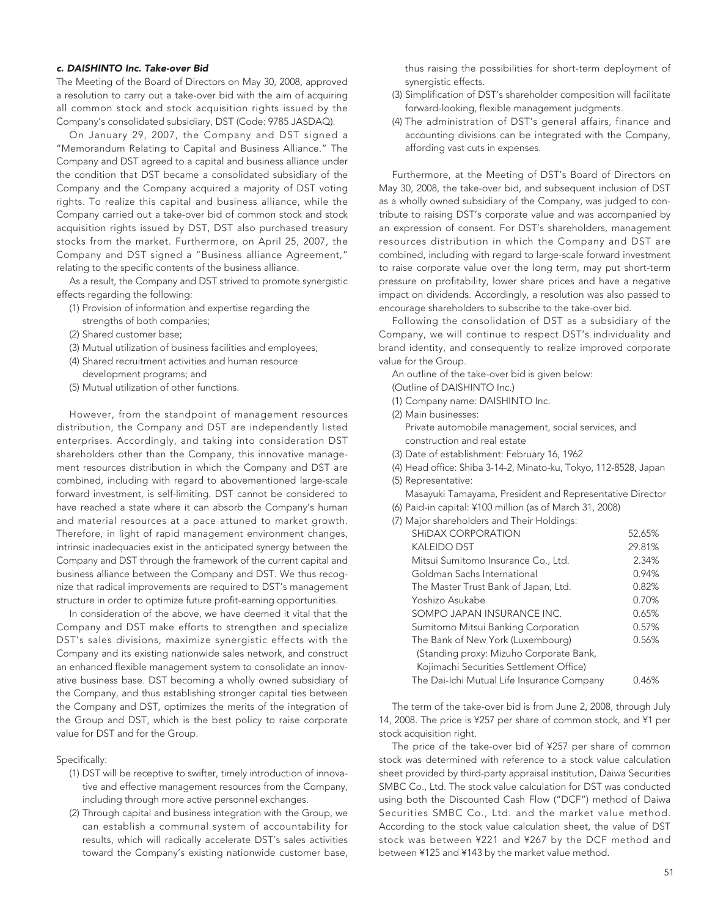### *c. DAISHINTO Inc. Take-over Bid*

The Meeting of the Board of Directors on May 30, 2008, approved a resolution to carry out a take-over bid with the aim of acquiring all common stock and stock acquisition rights issued by the Company's consolidated subsidiary, DST (Code: 9785 JASDAQ).

On January 29, 2007, the Company and DST signed a "Memorandum Relating to Capital and Business Alliance." The Company and DST agreed to a capital and business alliance under the condition that DST became a consolidated subsidiary of the Company and the Company acquired a majority of DST voting rights. To realize this capital and business alliance, while the Company carried out a take-over bid of common stock and stock acquisition rights issued by DST, DST also purchased treasury stocks from the market. Furthermore, on April 25, 2007, the Company and DST signed a "Business alliance Agreement," relating to the specific contents of the business alliance.

As a result, the Company and DST strived to promote synergistic effects regarding the following:

- (1) Provision of information and expertise regarding the strengths of both companies;
- (2) Shared customer base;
- (3) Mutual utilization of business facilities and employees;
- (4) Shared recruitment activities and human resource development programs; and
- (5) Mutual utilization of other functions.

However, from the standpoint of management resources distribution, the Company and DST are independently listed enterprises. Accordingly, and taking into consideration DST shareholders other than the Company, this innovative management resources distribution in which the Company and DST are combined, including with regard to abovementioned large-scale forward investment, is self-limiting. DST cannot be considered to have reached a state where it can absorb the Company's human and material resources at a pace attuned to market growth. Therefore, in light of rapid management environment changes, intrinsic inadequacies exist in the anticipated synergy between the Company and DST through the framework of the current capital and business alliance between the Company and DST. We thus recognize that radical improvements are required to DST's management structure in order to optimize future profit-earning opportunities.

In consideration of the above, we have deemed it vital that the Company and DST make efforts to strengthen and specialize DST's sales divisions, maximize synergistic effects with the Company and its existing nationwide sales network, and construct an enhanced flexible management system to consolidate an innovative business base. DST becoming a wholly owned subsidiary of the Company, and thus establishing stronger capital ties between the Company and DST, optimizes the merits of the integration of the Group and DST, which is the best policy to raise corporate value for DST and for the Group.

Specifically:

- (1) DST will be receptive to swifter, timely introduction of innovative and effective management resources from the Company, including through more active personnel exchanges.
- (2) Through capital and business integration with the Group, we can establish a communal system of accountability for results, which will radically accelerate DST's sales activities toward the Company's existing nationwide customer base,

thus raising the possibilities for short-term deployment of synergistic effects.

- (3) Simplification of DST's shareholder composition will facilitate forward-looking, flexible management judgments.
- (4) The administration of DST's general affairs, finance and accounting divisions can be integrated with the Company, affording vast cuts in expenses.

Furthermore, at the Meeting of DST's Board of Directors on May 30, 2008, the take-over bid, and subsequent inclusion of DST as a wholly owned subsidiary of the Company, was judged to contribute to raising DST's corporate value and was accompanied by an expression of consent. For DST's shareholders, management resources distribution in which the Company and DST are combined, including with regard to large-scale forward investment to raise corporate value over the long term, may put short-term pressure on profitability, lower share prices and have a negative impact on dividends. Accordingly, a resolution was also passed to encourage shareholders to subscribe to the take-over bid.

Following the consolidation of DST as a subsidiary of the Company, we will continue to respect DST's individuality and brand identity, and consequently to realize improved corporate value for the Group.

An outline of the take-over bid is given below:

- (Outline of DAISHINTO Inc.)
- (1) Company name: DAISHINTO Inc.
- (2) Main businesses: Private automobile management, social services, and construction and real estate
- (3) Date of establishment: February 16, 1962
- (4) Head office: Shiba 3-14-2, Minato-ku, Tokyo, 112-8528, Japan
- (5) Representative:
- Masayuki Tamayama, President and Representative Director (6) Paid-in capital: ¥100 million (as of March 31, 2008)
- (7) Major shareholders and Their Holdings:

| SHIDAX CORPORATION                         | 52.65% |
|--------------------------------------------|--------|
| <b>KALEIDO DST</b>                         | 29.81% |
| Mitsui Sumitomo Insurance Co., Ltd.        | 2.34%  |
| Goldman Sachs International                | 0.94%  |
| The Master Trust Bank of Japan, Ltd.       | 0.82%  |
| Yoshizo Asukabe                            | 0.70%  |
| SOMPO JAPAN INSURANCE INC.                 | 0.65%  |
| Sumitomo Mitsui Banking Corporation        | 0.57%  |
| The Bank of New York (Luxembourg)          | 0.56%  |
| (Standing proxy: Mizuho Corporate Bank,    |        |
| Kojimachi Securities Settlement Office)    |        |
| The Dai-Ichi Mutual Life Insurance Company | 0.46%  |

The term of the take-over bid is from June 2, 2008, through July 14, 2008. The price is ¥257 per share of common stock, and ¥1 per stock acquisition right.

The price of the take-over bid of ¥257 per share of common stock was determined with reference to a stock value calculation sheet provided by third-party appraisal institution, Daiwa Securities SMBC Co., Ltd. The stock value calculation for DST was conducted using both the Discounted Cash Flow ("DCF") method of Daiwa Securities SMBC Co., Ltd. and the market value method. According to the stock value calculation sheet, the value of DST stock was between ¥221 and ¥267 by the DCF method and between ¥125 and ¥143 by the market value method.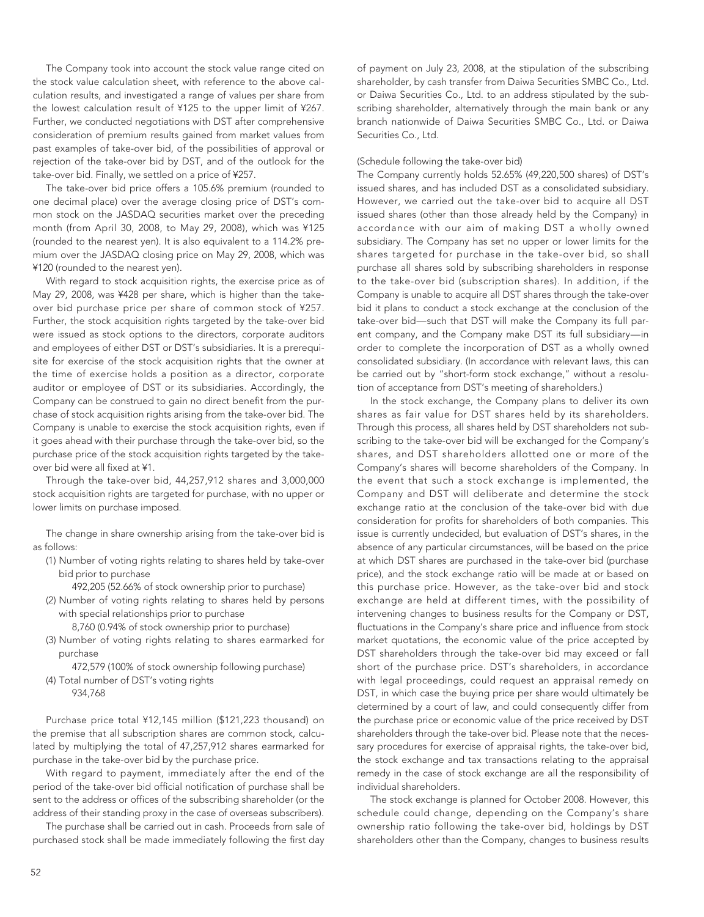The Company took into account the stock value range cited on the stock value calculation sheet, with reference to the above calculation results, and investigated a range of values per share from the lowest calculation result of ¥125 to the upper limit of ¥267. Further, we conducted negotiations with DST after comprehensive consideration of premium results gained from market values from past examples of take-over bid, of the possibilities of approval or rejection of the take-over bid by DST, and of the outlook for the take-over bid. Finally, we settled on a price of ¥257.

The take-over bid price offers a 105.6% premium (rounded to one decimal place) over the average closing price of DST's common stock on the JASDAQ securities market over the preceding month (from April 30, 2008, to May 29, 2008), which was ¥125 (rounded to the nearest yen). It is also equivalent to a 114.2% premium over the JASDAQ closing price on May 29, 2008, which was ¥120 (rounded to the nearest yen).

With regard to stock acquisition rights, the exercise price as of May 29, 2008, was ¥428 per share, which is higher than the takeover bid purchase price per share of common stock of ¥257. Further, the stock acquisition rights targeted by the take-over bid were issued as stock options to the directors, corporate auditors and employees of either DST or DST's subsidiaries. It is a prerequisite for exercise of the stock acquisition rights that the owner at the time of exercise holds a position as a director, corporate auditor or employee of DST or its subsidiaries. Accordingly, the Company can be construed to gain no direct benefit from the purchase of stock acquisition rights arising from the take-over bid. The Company is unable to exercise the stock acquisition rights, even if it goes ahead with their purchase through the take-over bid, so the purchase price of the stock acquisition rights targeted by the takeover bid were all fixed at ¥1.

Through the take-over bid, 44,257,912 shares and 3,000,000 stock acquisition rights are targeted for purchase, with no upper or lower limits on purchase imposed.

The change in share ownership arising from the take-over bid is as follows:

(1) Number of voting rights relating to shares held by take-over bid prior to purchase

492,205 (52.66% of stock ownership prior to purchase)

(2) Number of voting rights relating to shares held by persons with special relationships prior to purchase

8,760 (0.94% of stock ownership prior to purchase)

(3) Number of voting rights relating to shares earmarked for purchase

472,579 (100% of stock ownership following purchase) (4) Total number of DST's voting rights

934,768

Purchase price total ¥12,145 million (\$121,223 thousand) on the premise that all subscription shares are common stock, calculated by multiplying the total of 47,257,912 shares earmarked for purchase in the take-over bid by the purchase price.

With regard to payment, immediately after the end of the period of the take-over bid official notification of purchase shall be sent to the address or offices of the subscribing shareholder (or the address of their standing proxy in the case of overseas subscribers).

The purchase shall be carried out in cash. Proceeds from sale of purchased stock shall be made immediately following the first day of payment on July 23, 2008, at the stipulation of the subscribing shareholder, by cash transfer from Daiwa Securities SMBC Co., Ltd. or Daiwa Securities Co., Ltd. to an address stipulated by the subscribing shareholder, alternatively through the main bank or any branch nationwide of Daiwa Securities SMBC Co., Ltd. or Daiwa Securities Co., Ltd.

### (Schedule following the take-over bid)

The Company currently holds 52.65% (49,220,500 shares) of DST's issued shares, and has included DST as a consolidated subsidiary. However, we carried out the take-over bid to acquire all DST issued shares (other than those already held by the Company) in accordance with our aim of making DST a wholly owned subsidiary. The Company has set no upper or lower limits for the shares targeted for purchase in the take-over bid, so shall purchase all shares sold by subscribing shareholders in response to the take-over bid (subscription shares). In addition, if the Company is unable to acquire all DST shares through the take-over bid it plans to conduct a stock exchange at the conclusion of the take-over bid—such that DST will make the Company its full parent company, and the Company make DST its full subsidiary—in order to complete the incorporation of DST as a wholly owned consolidated subsidiary. (In accordance with relevant laws, this can be carried out by "short-form stock exchange," without a resolution of acceptance from DST's meeting of shareholders.)

In the stock exchange, the Company plans to deliver its own shares as fair value for DST shares held by its shareholders. Through this process, all shares held by DST shareholders not subscribing to the take-over bid will be exchanged for the Company's shares, and DST shareholders allotted one or more of the Company's shares will become shareholders of the Company. In the event that such a stock exchange is implemented, the Company and DST will deliberate and determine the stock exchange ratio at the conclusion of the take-over bid with due consideration for profits for shareholders of both companies. This issue is currently undecided, but evaluation of DST's shares, in the absence of any particular circumstances, will be based on the price at which DST shares are purchased in the take-over bid (purchase price), and the stock exchange ratio will be made at or based on this purchase price. However, as the take-over bid and stock exchange are held at different times, with the possibility of intervening changes to business results for the Company or DST, fluctuations in the Company's share price and influence from stock market quotations, the economic value of the price accepted by DST shareholders through the take-over bid may exceed or fall short of the purchase price. DST's shareholders, in accordance with legal proceedings, could request an appraisal remedy on DST, in which case the buying price per share would ultimately be determined by a court of law, and could consequently differ from the purchase price or economic value of the price received by DST shareholders through the take-over bid. Please note that the necessary procedures for exercise of appraisal rights, the take-over bid, the stock exchange and tax transactions relating to the appraisal remedy in the case of stock exchange are all the responsibility of individual shareholders.

The stock exchange is planned for October 2008. However, this schedule could change, depending on the Company's share ownership ratio following the take-over bid, holdings by DST shareholders other than the Company, changes to business results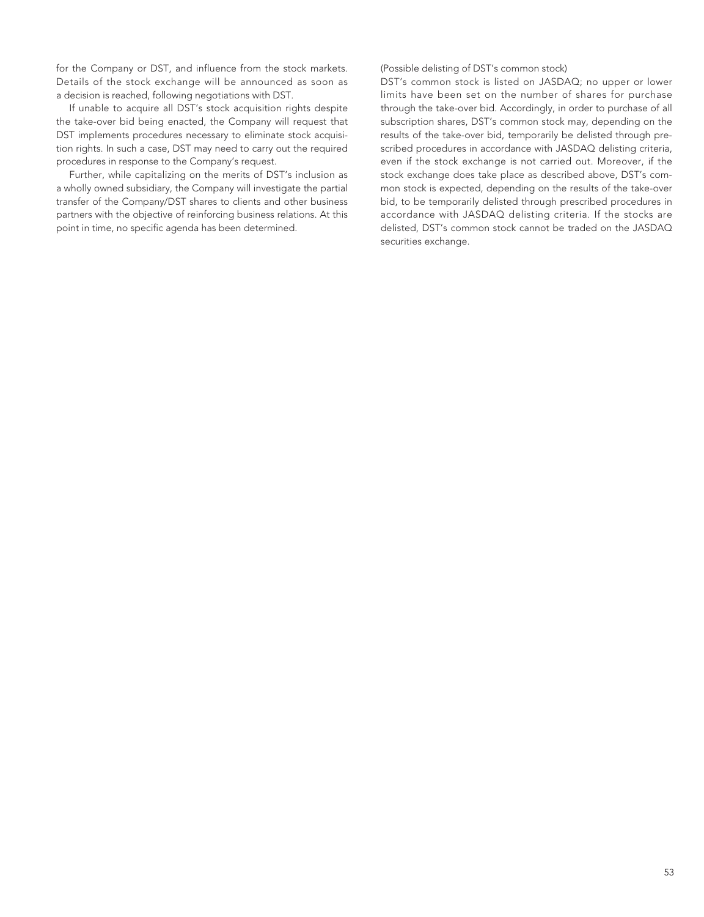for the Company or DST, and influence from the stock markets. Details of the stock exchange will be announced as soon as a decision is reached, following negotiations with DST.

If unable to acquire all DST's stock acquisition rights despite the take-over bid being enacted, the Company will request that DST implements procedures necessary to eliminate stock acquisition rights. In such a case, DST may need to carry out the required procedures in response to the Company's request.

Further, while capitalizing on the merits of DST's inclusion as a wholly owned subsidiary, the Company will investigate the partial transfer of the Company/DST shares to clients and other business partners with the objective of reinforcing business relations. At this point in time, no specific agenda has been determined.

(Possible delisting of DST's common stock)

DST's common stock is listed on JASDAQ; no upper or lower limits have been set on the number of shares for purchase through the take-over bid. Accordingly, in order to purchase of all subscription shares, DST's common stock may, depending on the results of the take-over bid, temporarily be delisted through prescribed procedures in accordance with JASDAQ delisting criteria, even if the stock exchange is not carried out. Moreover, if the stock exchange does take place as described above, DST's common stock is expected, depending on the results of the take-over bid, to be temporarily delisted through prescribed procedures in accordance with JASDAQ delisting criteria. If the stocks are delisted, DST's common stock cannot be traded on the JASDAQ securities exchange.